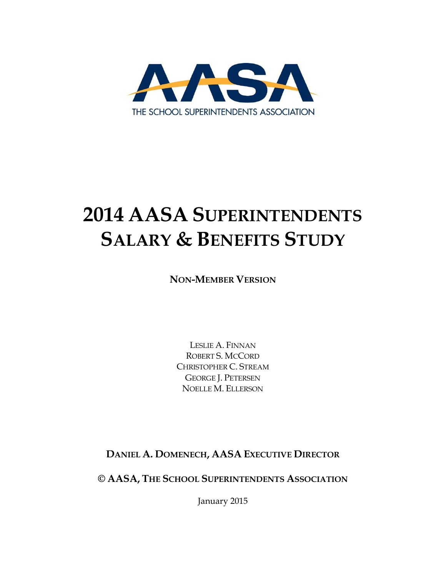

# **2014 AASA SUPERINTENDENTS SALARY & BENEFITS STUDY**

**NON-MEMBER VERSION**

LESLIE A. FINNAN ROBERT S. MCCORD CHRISTOPHER C. STREAM GEORGE J. PETERSEN NOELLE M. ELLERSON

**DANIEL A. DOMENECH, AASA EXECUTIVE DIRECTOR**

**© AASA, THE SCHOOL SUPERINTENDENTS ASSOCIATION**

January 2015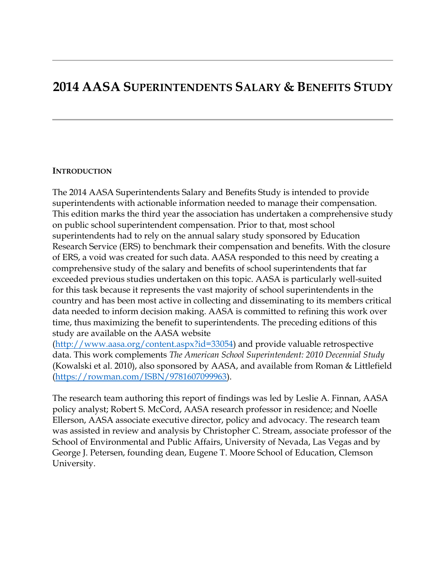### **2014 AASA SUPERINTENDENTS SALARY & BENEFITS STUDY**

#### **INTRODUCTION**

The 2014 AASA Superintendents Salary and Benefits Study is intended to provide superintendents with actionable information needed to manage their compensation. This edition marks the third year the association has undertaken a comprehensive study on public school superintendent compensation. Prior to that, most school superintendents had to rely on the annual salary study sponsored by Education Research Service (ERS) to benchmark their compensation and benefits. With the closure of ERS, a void was created for such data. AASA responded to this need by creating a comprehensive study of the salary and benefits of school superintendents that far exceeded previous studies undertaken on this topic. AASA is particularly well-suited for this task because it represents the vast majority of school superintendents in the country and has been most active in collecting and disseminating to its members critical data needed to inform decision making. AASA is committed to refining this work over time, thus maximizing the benefit to superintendents. The preceding editions of this study are available on the AASA website

[\(http://www.aasa.org/content.aspx?id=33054\)](http://www.aasa.org/content.aspx?id=33054) and provide valuable retrospective data. This work complements *The American School Superintendent: 2010 Decennial Study* (Kowalski et al. 2010), also sponsored by AASA, and available from Roman & Littlefield [\(https://rowman.com/ISBN/9781607099963\)](https://rowman.com/ISBN/9781607099963).

The research team authoring this report of findings was led by Leslie A. Finnan, AASA policy analyst; Robert S. McCord, AASA research professor in residence; and Noelle Ellerson, AASA associate executive director, policy and advocacy. The research team was assisted in review and analysis by Christopher C. Stream, associate professor of the School of Environmental and Public Affairs, University of Nevada, Las Vegas and by George J. Petersen, founding dean, Eugene T. Moore School of Education, Clemson University.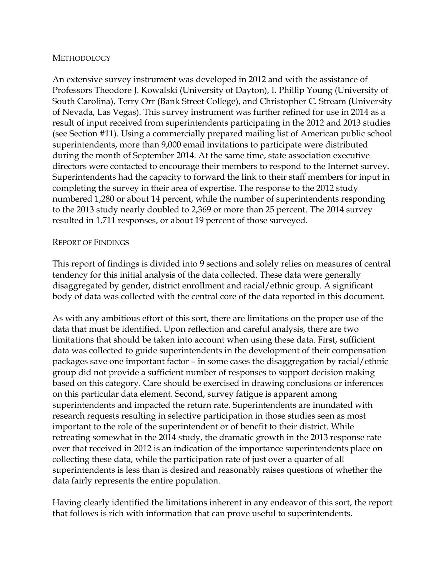#### **METHODOLOGY**

An extensive survey instrument was developed in 2012 and with the assistance of Professors Theodore J. Kowalski (University of Dayton), I. Phillip Young (University of South Carolina), Terry Orr (Bank Street College), and Christopher C. Stream (University of Nevada, Las Vegas). This survey instrument was further refined for use in 2014 as a result of input received from superintendents participating in the 2012 and 2013 studies (see Section #11). Using a commercially prepared mailing list of American public school superintendents, more than 9,000 email invitations to participate were distributed during the month of September 2014. At the same time, state association executive directors were contacted to encourage their members to respond to the Internet survey. Superintendents had the capacity to forward the link to their staff members for input in completing the survey in their area of expertise. The response to the 2012 study numbered 1,280 or about 14 percent, while the number of superintendents responding to the 2013 study nearly doubled to 2,369 or more than 25 percent. The 2014 survey resulted in 1,711 responses, or about 19 percent of those surveyed.

#### REPORT OF FINDINGS

This report of findings is divided into 9 sections and solely relies on measures of central tendency for this initial analysis of the data collected. These data were generally disaggregated by gender, district enrollment and racial/ethnic group. A significant body of data was collected with the central core of the data reported in this document.

As with any ambitious effort of this sort, there are limitations on the proper use of the data that must be identified. Upon reflection and careful analysis, there are two limitations that should be taken into account when using these data. First, sufficient data was collected to guide superintendents in the development of their compensation packages save one important factor – in some cases the disaggregation by racial/ethnic group did not provide a sufficient number of responses to support decision making based on this category. Care should be exercised in drawing conclusions or inferences on this particular data element. Second, survey fatigue is apparent among superintendents and impacted the return rate. Superintendents are inundated with research requests resulting in selective participation in those studies seen as most important to the role of the superintendent or of benefit to their district. While retreating somewhat in the 2014 study, the dramatic growth in the 2013 response rate over that received in 2012 is an indication of the importance superintendents place on collecting these data, while the participation rate of just over a quarter of all superintendents is less than is desired and reasonably raises questions of whether the data fairly represents the entire population.

Having clearly identified the limitations inherent in any endeavor of this sort, the report that follows is rich with information that can prove useful to superintendents.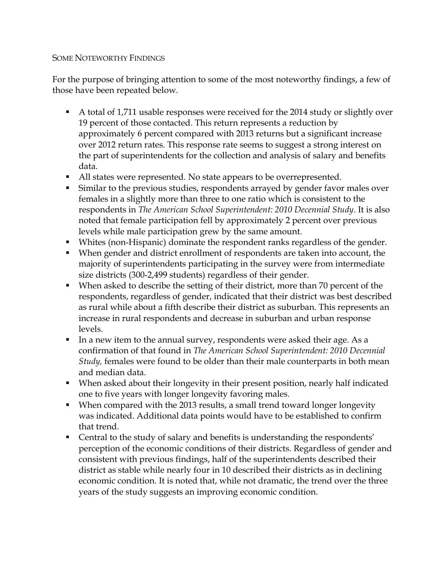#### SOME NOTEWORTHY FINDINGS

For the purpose of bringing attention to some of the most noteworthy findings, a few of those have been repeated below.

- A total of 1,711 usable responses were received for the 2014 study or slightly over 19 percent of those contacted. This return represents a reduction by approximately 6 percent compared with 2013 returns but a significant increase over 2012 return rates. This response rate seems to suggest a strong interest on the part of superintendents for the collection and analysis of salary and benefits data.
- All states were represented. No state appears to be overrepresented.
- Similar to the previous studies, respondents arrayed by gender favor males over females in a slightly more than three to one ratio which is consistent to the respondents in *The American School Superintendent: 2010 Decennial Study*. It is also noted that female participation fell by approximately 2 percent over previous levels while male participation grew by the same amount.
- Whites (non-Hispanic) dominate the respondent ranks regardless of the gender.
- When gender and district enrollment of respondents are taken into account, the majority of superintendents participating in the survey were from intermediate size districts (300-2,499 students) regardless of their gender.
- When asked to describe the setting of their district, more than 70 percent of the respondents, regardless of gender, indicated that their district was best described as rural while about a fifth describe their district as suburban. This represents an increase in rural respondents and decrease in suburban and urban response levels.
- In a new item to the annual survey, respondents were asked their age. As a confirmation of that found in *The American School Superintendent: 2010 Decennial Study,* females were found to be older than their male counterparts in both mean and median data.
- When asked about their longevity in their present position, nearly half indicated one to five years with longer longevity favoring males.
- When compared with the 2013 results, a small trend toward longer longevity was indicated. Additional data points would have to be established to confirm that trend.
- Central to the study of salary and benefits is understanding the respondents' perception of the economic conditions of their districts. Regardless of gender and consistent with previous findings, half of the superintendents described their district as stable while nearly four in 10 described their districts as in declining economic condition. It is noted that, while not dramatic, the trend over the three years of the study suggests an improving economic condition.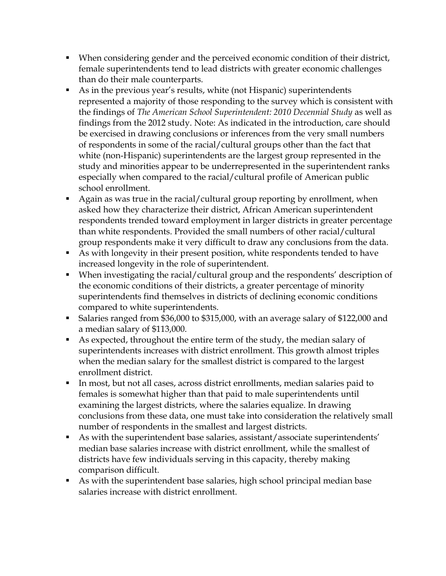- When considering gender and the perceived economic condition of their district, female superintendents tend to lead districts with greater economic challenges than do their male counterparts.
- As in the previous year's results, white (not Hispanic) superintendents represented a majority of those responding to the survey which is consistent with the findings of *The American School Superintendent: 2010 Decennial Study* as well as findings from the 2012 study. Note: As indicated in the introduction, care should be exercised in drawing conclusions or inferences from the very small numbers of respondents in some of the racial/cultural groups other than the fact that white (non-Hispanic) superintendents are the largest group represented in the study and minorities appear to be underrepresented in the superintendent ranks especially when compared to the racial/cultural profile of American public school enrollment.
- Again as was true in the racial/cultural group reporting by enrollment, when asked how they characterize their district, African American superintendent respondents trended toward employment in larger districts in greater percentage than white respondents. Provided the small numbers of other racial/cultural group respondents make it very difficult to draw any conclusions from the data.
- As with longevity in their present position, white respondents tended to have increased longevity in the role of superintendent.
- When investigating the racial/cultural group and the respondents' description of the economic conditions of their districts, a greater percentage of minority superintendents find themselves in districts of declining economic conditions compared to white superintendents.
- Salaries ranged from \$36,000 to \$315,000, with an average salary of \$122,000 and a median salary of \$113,000.
- As expected, throughout the entire term of the study, the median salary of superintendents increases with district enrollment. This growth almost triples when the median salary for the smallest district is compared to the largest enrollment district.
- In most, but not all cases, across district enrollments, median salaries paid to females is somewhat higher than that paid to male superintendents until examining the largest districts, where the salaries equalize. In drawing conclusions from these data, one must take into consideration the relatively small number of respondents in the smallest and largest districts.
- As with the superintendent base salaries, assistant/associate superintendents' median base salaries increase with district enrollment, while the smallest of districts have few individuals serving in this capacity, thereby making comparison difficult.
- As with the superintendent base salaries, high school principal median base salaries increase with district enrollment.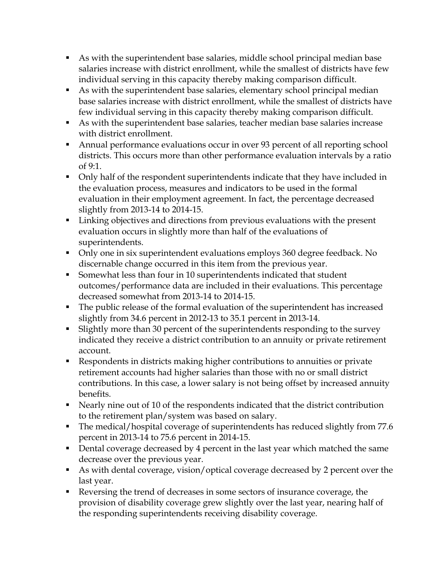- As with the superintendent base salaries, middle school principal median base salaries increase with district enrollment, while the smallest of districts have few individual serving in this capacity thereby making comparison difficult.
- As with the superintendent base salaries, elementary school principal median base salaries increase with district enrollment, while the smallest of districts have few individual serving in this capacity thereby making comparison difficult.
- As with the superintendent base salaries, teacher median base salaries increase with district enrollment.
- Annual performance evaluations occur in over 93 percent of all reporting school districts. This occurs more than other performance evaluation intervals by a ratio of 9:1.
- Only half of the respondent superintendents indicate that they have included in the evaluation process, measures and indicators to be used in the formal evaluation in their employment agreement. In fact, the percentage decreased slightly from 2013-14 to 2014-15.
- Linking objectives and directions from previous evaluations with the present evaluation occurs in slightly more than half of the evaluations of superintendents.
- Only one in six superintendent evaluations employs 360 degree feedback. No discernable change occurred in this item from the previous year.
- Somewhat less than four in 10 superintendents indicated that student outcomes/performance data are included in their evaluations. This percentage decreased somewhat from 2013-14 to 2014-15.
- The public release of the formal evaluation of the superintendent has increased slightly from 34.6 percent in 2012-13 to 35.1 percent in 2013-14.
- Slightly more than 30 percent of the superintendents responding to the survey indicated they receive a district contribution to an annuity or private retirement account.
- Respondents in districts making higher contributions to annuities or private retirement accounts had higher salaries than those with no or small district contributions. In this case, a lower salary is not being offset by increased annuity benefits.
- Nearly nine out of 10 of the respondents indicated that the district contribution to the retirement plan/system was based on salary.
- The medical/hospital coverage of superintendents has reduced slightly from 77.6 percent in 2013-14 to 75.6 percent in 2014-15.
- Dental coverage decreased by 4 percent in the last year which matched the same decrease over the previous year.
- As with dental coverage, vision/optical coverage decreased by 2 percent over the last year.
- Reversing the trend of decreases in some sectors of insurance coverage, the provision of disability coverage grew slightly over the last year, nearing half of the responding superintendents receiving disability coverage.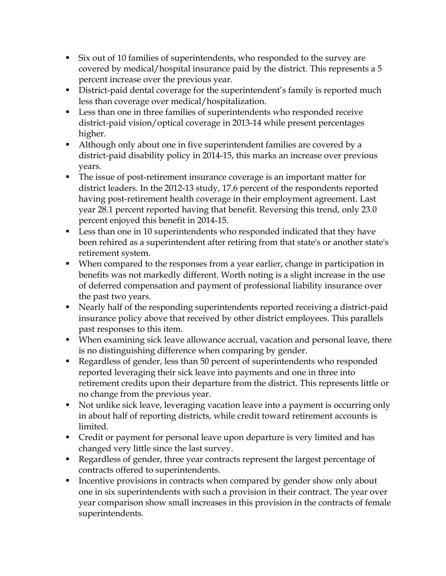- Six out of 10 families of superintendents, who responded to the survey are covered by medical/hospital insurance paid by the district. This represents a 5 percent increase over the previous year.
- District-paid dental coverage for the superintendent's family is reported much less than coverage over medical/hospitalization.
- Less than one in three families of superintendents who responded receive district-paid vision/optical coverage in 2013-14 while present percentages higher.
- Although only about one in five superintendent families are covered by a district-paid disability policy in 2014-15, this marks an increase over previous years.
- The issue of post-retirement insurance coverage is an important matter for district leaders. In the 2012-13 study, 17.6 percent of the respondents reported having post-retirement health coverage in their employment agreement. Last year 28.1 percent reported having that benefit. Reversing this trend, only 23.0 percent enjoyed this benefit in 2014-15.
- Less than one in 10 superintendents who responded indicated that they have been rehired as a superintendent after retiring from that state's or another state's retirement system.
- When compared to the responses from a year earlier, change in participation in benefits was not markedly different. Worth noting is a slight increase in the use of deferred compensation and payment of professional liability insurance over the past two years.
- Nearly half of the responding superintendents reported receiving a district-paid insurance policy above that received by other district employees. This parallels past responses to this item.
- When examining sick leave allowance accrual, vacation and personal leave, there is no distinguishing difference when comparing by gender.
- Regardless of gender, less than 50 percent of superintendents who responded reported leveraging their sick leave into payments and one in three into retirement credits upon their departure from the district. This represents little or no change from the previous year.
- Not unlike sick leave, leveraging vacation leave into a payment is occurring only in about half of reporting districts, while credit toward retirement accounts is limited.
- Credit or payment for personal leave upon departure is very limited and has changed very little since the last survey.
- Regardless of gender, three year contracts represent the largest percentage of contracts offered to superintendents.
- Incentive provisions in contracts when compared by gender show only about one in six superintendents with such a provision in their contract. The year over year comparison show small increases in this provision in the contracts of female superintendents.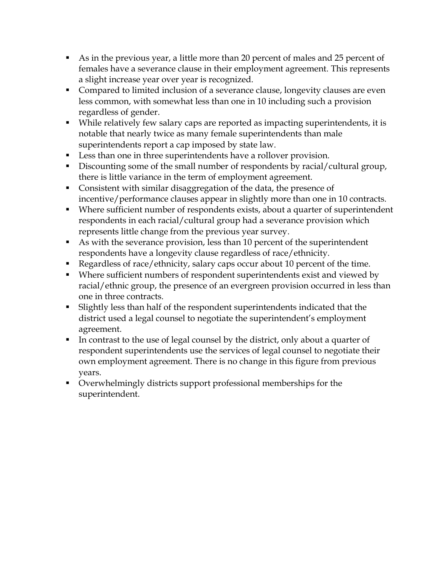- As in the previous year, a little more than 20 percent of males and 25 percent of females have a severance clause in their employment agreement. This represents a slight increase year over year is recognized.
- Compared to limited inclusion of a severance clause, longevity clauses are even less common, with somewhat less than one in 10 including such a provision regardless of gender.
- While relatively few salary caps are reported as impacting superintendents, it is notable that nearly twice as many female superintendents than male superintendents report a cap imposed by state law.
- Less than one in three superintendents have a rollover provision.
- Discounting some of the small number of respondents by racial/cultural group, there is little variance in the term of employment agreement.
- Consistent with similar disaggregation of the data, the presence of incentive/performance clauses appear in slightly more than one in 10 contracts.
- Where sufficient number of respondents exists, about a quarter of superintendent respondents in each racial/cultural group had a severance provision which represents little change from the previous year survey.
- As with the severance provision, less than 10 percent of the superintendent respondents have a longevity clause regardless of race/ethnicity.
- Regardless of race/ethnicity, salary caps occur about 10 percent of the time.
- Where sufficient numbers of respondent superintendents exist and viewed by racial/ethnic group, the presence of an evergreen provision occurred in less than one in three contracts.
- Slightly less than half of the respondent superintendents indicated that the district used a legal counsel to negotiate the superintendent's employment agreement.
- In contrast to the use of legal counsel by the district, only about a quarter of respondent superintendents use the services of legal counsel to negotiate their own employment agreement. There is no change in this figure from previous years.
- Overwhelmingly districts support professional memberships for the superintendent.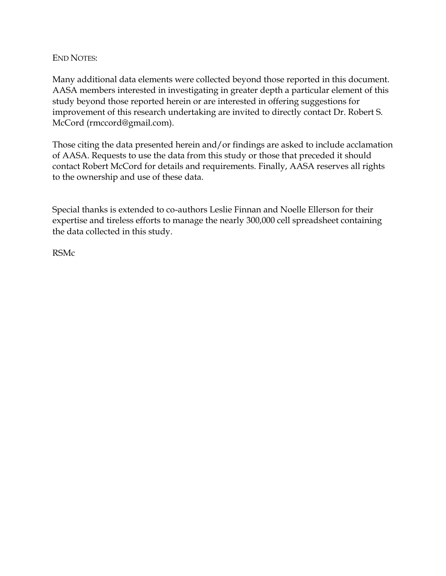#### END NOTES:

Many additional data elements were collected beyond those reported in this document. AASA members interested in investigating in greater depth a particular element of this study beyond those reported herein or are interested in offering suggestions for improvement of this research undertaking are invited to directly contact Dr. Robert S. McCord (rmccord@gmail.com).

Those citing the data presented herein and/or findings are asked to include acclamation of AASA. Requests to use the data from this study or those that preceded it should contact Robert McCord for details and requirements. Finally, AASA reserves all rights to the ownership and use of these data.

Special thanks is extended to co-authors Leslie Finnan and Noelle Ellerson for their expertise and tireless efforts to manage the nearly 300,000 cell spreadsheet containing the data collected in this study.

RSMc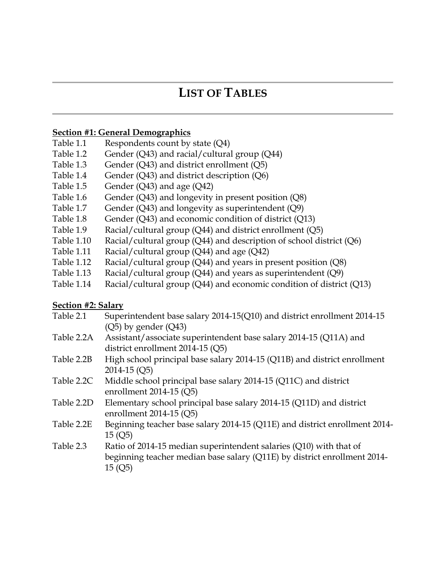### **LIST OF TABLES**

#### **Section #1: General Demographics**

- Table 1.1 Respondents count by state (Q4)
- Table 1.2 Gender (Q43) and racial/cultural group (Q44)
- Table 1.3 Gender (Q43) and district enrollment (Q5)
- Table 1.4 Gender (Q43) and district description (Q6)
- Table 1.5 Gender  $(Q43)$  and age  $(Q42)$
- Table 1.6 Gender (Q43) and longevity in present position  $(Q8)$
- Table 1.7 Gender (Q43) and longevity as superintendent (Q9)
- Table 1.8 Gender (Q43) and economic condition of district (Q13)
- Table 1.9 Racial/cultural group (Q44) and district enrollment (Q5)
- Table 1.10 Racial/cultural group (Q44) and description of school district (Q6)
- Table 1.11 Racial/cultural group (Q44) and age (Q42)
- Table 1.12 Racial/cultural group (Q44) and years in present position (Q8)
- Table 1.13 Racial/cultural group  $(Q44)$  and years as superintendent  $(Q9)$
- Table 1.14 Racial/cultural group (Q44) and economic condition of district (Q13)

#### **Section #2: Salary**

- Table 2.1 Superintendent base salary 2014-15(Q10) and district enrollment 2014-15 (Q5) by gender (Q43) Table 2.2A Assistant/associate superintendent base salary 2014-15 (Q11A) and district enrollment 2014-15 (Q5) Table 2.2B High school principal base salary 2014-15 (Q11B) and district enrollment 2014-15 (Q5) Table 2.2C Middle school principal base salary 2014-15 (Q11C) and district enrollment 2014-15 (Q5) Table 2.2D Elementary school principal base salary 2014-15 (Q11D) and district enrollment 2014-15 (Q5) Table 2.2E Beginning teacher base salary 2014-15 (Q11E) and district enrollment 2014- 15 (Q5) Table 2.3 Ratio of 2014-15 median superintendent salaries (Q10) with that of beginning teacher median base salary (Q11E) by district enrollment 2014-
	- 15 (Q5)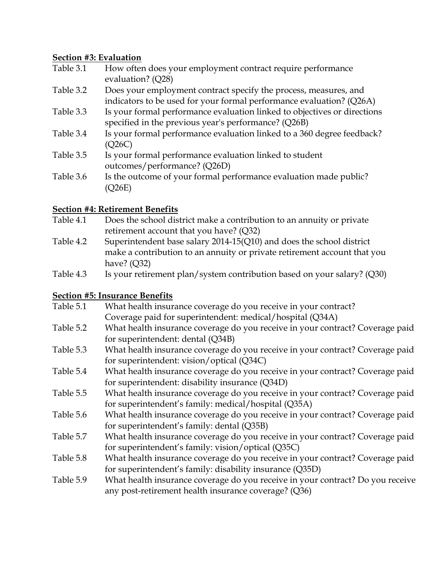#### **Section #3: Evaluation**

| Table 3.1 | How often does your employment contract require performance<br>evaluation? (Q28)                                                 |
|-----------|----------------------------------------------------------------------------------------------------------------------------------|
| Table 3.2 | Does your employment contract specify the process, measures, and                                                                 |
|           | indicators to be used for your formal performance evaluation? (Q26A)                                                             |
| Table 3.3 | Is your formal performance evaluation linked to objectives or directions<br>specified in the previous year's performance? (Q26B) |
| Table 3.4 | Is your formal performance evaluation linked to a 360 degree feedback?<br>(Q26C)                                                 |
| Table 3.5 | Is your formal performance evaluation linked to student<br>outcomes/performance? (Q26D)                                          |
| Table 3.6 | Is the outcome of your formal performance evaluation made public?<br>(Q26E)                                                      |

#### **Section #4: Retirement Benefits**

- Table 4.1 Does the school district make a contribution to an annuity or private retirement account that you have? (Q32)
- Table 4.2 Superintendent base salary 2014-15(Q10) and does the school district make a contribution to an annuity or private retirement account that you have? (Q32)
- Table 4.3 Is your retirement plan/system contribution based on your salary? (Q30)

#### **Section #5: Insurance Benefits**

| Table 5.1 | What health insurance coverage do you receive in your contract?                |
|-----------|--------------------------------------------------------------------------------|
|           | Coverage paid for superintendent: medical/hospital (Q34A)                      |
| Table 5.2 | What health insurance coverage do you receive in your contract? Coverage paid  |
|           | for superintendent: dental (Q34B)                                              |
| Table 5.3 | What health insurance coverage do you receive in your contract? Coverage paid  |
|           | for superintendent: vision/optical (Q34C)                                      |
| Table 5.4 | What health insurance coverage do you receive in your contract? Coverage paid  |
|           | for superintendent: disability insurance (Q34D)                                |
| Table 5.5 | What health insurance coverage do you receive in your contract? Coverage paid  |
|           | for superintendent's family: medical/hospital (Q35A)                           |
| Table 5.6 | What health insurance coverage do you receive in your contract? Coverage paid  |
|           | for superintendent's family: dental (Q35B)                                     |
| Table 5.7 | What health insurance coverage do you receive in your contract? Coverage paid  |
|           | for superintendent's family: vision/optical (Q35C)                             |
| Table 5.8 | What health insurance coverage do you receive in your contract? Coverage paid  |
|           | for superintendent's family: disability insurance (Q35D)                       |
| Table 5.9 | What health insurance coverage do you receive in your contract? Do you receive |
|           | any post-retirement health insurance coverage? (Q36)                           |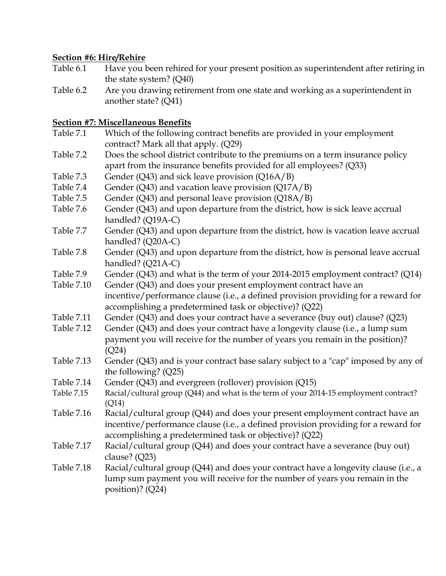#### **Section #6: Hire/Rehire**

- Table 6.1 Have you been rehired for your present position as superintendent after retiring in the state system? (Q40)
- Table 6.2 Are you drawing retirement from one state and working as a superintendent in another state? (Q41)

#### **Section #7: Miscellaneous Benefits**

- Table 7.1 Which of the following contract benefits are provided in your employment contract? Mark all that apply. (Q29) Table 7.2 Does the school district contribute to the premiums on a term insurance policy
- apart from the insurance benefits provided for all employees? (Q33)
- Table 7.3 Gender (Q43) and sick leave provision (Q16A/B)
- Table 7.4 Gender (Q43) and vacation leave provision (Q17A/B)
- Table 7.5 Gender (Q43) and personal leave provision (Q18A/B)
- Table 7.6 Gender (Q43) and upon departure from the district, how is sick leave accrual handled? (Q19A-C)
- Table 7.7 Gender (Q43) and upon departure from the district, how is vacation leave accrual handled? (Q20A-C)
- Table 7.8 Gender (Q43) and upon departure from the district, how is personal leave accrual handled? (Q21A-C)
- Table 7.9 Gender (Q43) and what is the term of your 2014-2015 employment contract? (Q14)
- Table 7.10 Gender (Q43) and does your present employment contract have an

incentive/performance clause (i.e., a defined provision providing for a reward for accomplishing a predetermined task or objective)? (Q22)

- Table 7.11 Gender (Q43) and does your contract have a severance (buy out) clause? (Q23)
- Table 7.12 Gender (Q43) and does your contract have a longevity clause (i.e., a lump sum payment you will receive for the number of years you remain in the position)? (Q24)
- Table 7.13 Gender (Q43) and is your contract base salary subject to a "cap" imposed by any of the following? (Q25)
- Table 7.14 Gender (Q43) and evergreen (rollover) provision (Q15)
- Table 7.15 Racial/cultural group (Q44) and what is the term of your 2014-15 employment contract? (Q14)
- Table 7.16 Racial/cultural group (Q44) and does your present employment contract have an incentive/performance clause (i.e., a defined provision providing for a reward for accomplishing a predetermined task or objective)? (Q22)
- Table 7.17 Racial/cultural group (Q44) and does your contract have a severance (buy out) clause? (Q23)
- Table 7.18 Racial/cultural group (Q44) and does your contract have a longevity clause (i.e., a lump sum payment you will receive for the number of years you remain in the position)? (Q24)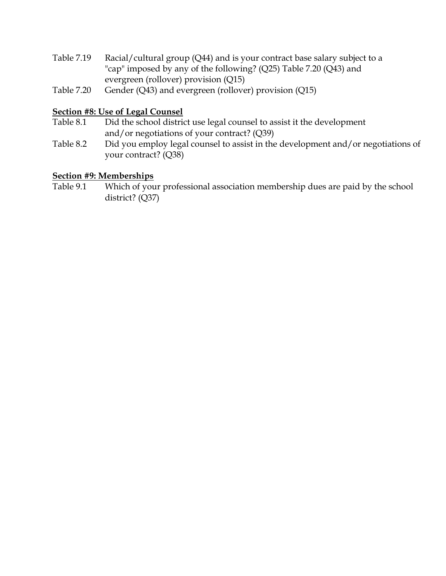- Table 7.19 Racial/cultural group (Q44) and is your contract base salary subject to a "cap" imposed by any of the following? (Q25) Table 7.20 (Q43) and evergreen (rollover) provision (Q15)
- Table 7.20 Gender (Q43) and evergreen (rollover) provision (Q15)

#### **Section #8: Use of Legal Counsel**

- Table 8.1 Did the school district use legal counsel to assist it the development and/or negotiations of your contract? (Q39)
- Table 8.2 Did you employ legal counsel to assist in the development and/or negotiations of your contract? (Q38)

#### **Section #9: Memberships**

Table 9.1 Which of your professional association membership dues are paid by the school district? (Q37)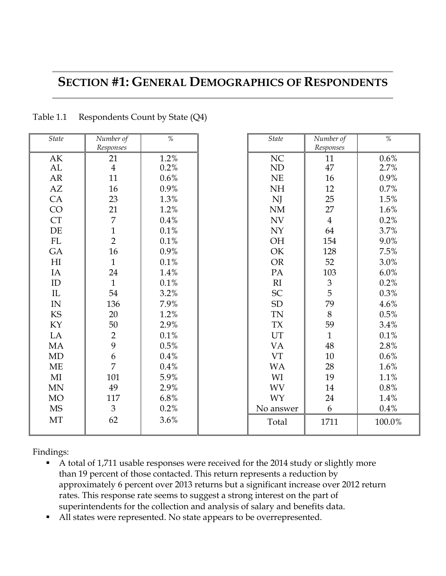### **SECTION #1: GENERAL DEMOGRAPHICS OF RESPONDENTS**

| <b>State</b>             | Number of      | $\frac{0}{0}$ | <b>State</b> | Number of      | $\%$    |
|--------------------------|----------------|---------------|--------------|----------------|---------|
|                          | Responses      |               |              | Responses      |         |
| AK                       | 21             | 1.2%          | NC           | 11             | 0.6%    |
| AL                       | $\overline{4}$ | 0.2%          | ND           | 47             | 2.7%    |
| AR                       | 11             | 0.6%          | NE           | 16             | 0.9%    |
| AZ                       | 16             | 0.9%          | NH           | 12             | 0.7%    |
| CA                       | 23             | 1.3%          | NJ           | 25             | 1.5%    |
| CO                       | 21             | 1.2%          | $\rm{NM}$    | 27             | 1.6%    |
| CT                       | $\overline{7}$ | 0.4%          | <b>NV</b>    | $\overline{4}$ | 0.2%    |
| $\rm DE$                 | $\mathbf{1}$   | 0.1%          | <b>NY</b>    | 64             | 3.7%    |
| FL                       | $\overline{2}$ | 0.1%          | OH           | 154            | 9.0%    |
| GA                       | 16             | 0.9%          | OK           | 128            | 7.5%    |
| H <sub>I</sub>           | $\mathbf{1}$   | 0.1%          | <b>OR</b>    | 52             | 3.0%    |
| IA                       | 24             | 1.4%          | PA           | 103            | $6.0\%$ |
| $\rm ID$                 | $\mathbf{1}$   | 0.1%          | R1           | $\frac{3}{5}$  | 0.2%    |
| $\rm IL$                 | 54             | 3.2%          | SC           |                | 0.3%    |
| $\ensuremath{\text{IN}}$ | 136            | 7.9%          | ${\rm SD}$   | 79             | 4.6%    |
| KS                       | 20             | 1.2%          | <b>TN</b>    | 8              | 0.5%    |
| KY                       | 50             | 2.9%          | <b>TX</b>    | 59             | 3.4%    |
| LA                       | $\overline{2}$ | 0.1%          | UT           | $\mathbf{1}$   | 0.1%    |
| MA                       | 9              | 0.5%          | <b>VA</b>    | 48             | 2.8%    |
| MD                       | 6              | 0.4%          | <b>VT</b>    | $10\,$         | 0.6%    |
| ME                       | $\overline{7}$ | 0.4%          | <b>WA</b>    | 28             | 1.6%    |
| MI                       | 101            | 5.9%          | WI           | 19             | $1.1\%$ |
| MN                       | 49             | 2.9%          | <b>WV</b>    | 14             | 0.8%    |
| <b>MO</b>                | 117            | 6.8%          | <b>WY</b>    | 24             | 1.4%    |
| <b>MS</b>                | $\mathfrak{Z}$ | 0.2%          | No answer    | 6              | $0.4\%$ |
| MT                       | 62             | 3.6%          | Total        | 1711           | 100.0%  |
|                          |                |               |              |                |         |

Table 1.1 Respondents Count by State (Q4)

- A total of 1,711 usable responses were received for the 2014 study or slightly more than 19 percent of those contacted. This return represents a reduction by approximately 6 percent over 2013 returns but a significant increase over 2012 return rates. This response rate seems to suggest a strong interest on the part of superintendents for the collection and analysis of salary and benefits data.
- All states were represented. No state appears to be overrepresented.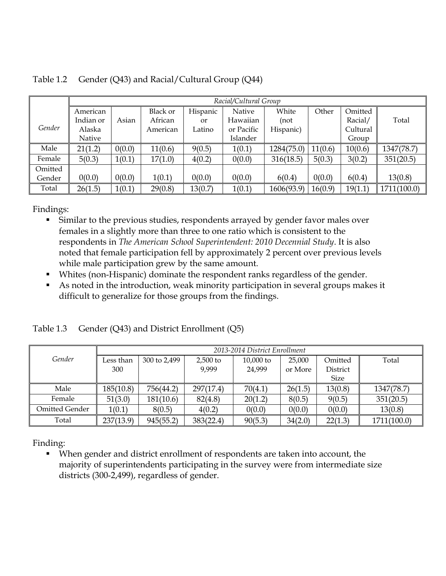|         |           | Racial/Cultural Group |                 |           |            |            |         |          |             |
|---------|-----------|-----------------------|-----------------|-----------|------------|------------|---------|----------|-------------|
|         | American  |                       | <b>Black or</b> | Hispanic  | Native     | White      | Other   | Omitted  |             |
|         | Indian or | Asian                 | African         | <b>or</b> | Hawaiian   | (not       |         | Racial/  | Total       |
| Gender  | Alaska    |                       | American        | Latino    | or Pacific | Hispanic)  |         | Cultural |             |
|         | Native    |                       |                 |           | Islander   |            |         | Group    |             |
| Male    | 21(1.2)   | 0(0.0)                | 11(0.6)         | 9(0.5)    | 1(0.1)     | 1284(75.0) | 11(0.6) | 10(0.6)  | 1347(78.7)  |
| Female  | 5(0.3)    | 1(0.1)                | 17(1.0)         | 4(0.2)    | 0(0.0)     | 316(18.5)  | 5(0.3)  | 3(0.2)   | 351(20.5)   |
| Omitted |           |                       |                 |           |            |            |         |          |             |
| Gender  | 0(0.0)    | 0(0.0)                | 1(0.1)          | 0(0.0)    | 0(0.0)     | 6(0.4)     | 0(0.0)  | 6(0.4)   | 13(0.8)     |
| Total   | 26(1.5)   | 1(0.1)                | 29(0.8)         | 13(0.7)   | 1(0.1)     | 1606(93.9) | 16(0.9) | 19(1.1)  | 1711(100.0) |

Table 1.2 Gender (Q43) and Racial/Cultural Group (Q44)

- Similar to the previous studies, respondents arrayed by gender favor males over females in a slightly more than three to one ratio which is consistent to the respondents in *The American School Superintendent: 2010 Decennial Study*. It is also noted that female participation fell by approximately 2 percent over previous levels while male participation grew by the same amount.
- Whites (non-Hispanic) dominate the respondent ranks regardless of the gender.
- As noted in the introduction, weak minority participation in several groups makes it difficult to generalize for those groups from the findings.

|                | 2013-2014 District Enrollment |              |            |             |         |             |             |
|----------------|-------------------------------|--------------|------------|-------------|---------|-------------|-------------|
| Gender         | Less than                     | 300 to 2,499 | $2,500$ to | $10,000$ to | 25,000  | Omitted     | Total       |
|                | 300                           |              | 9,999      | 24,999      | or More | District    |             |
|                |                               |              |            |             |         | <b>Size</b> |             |
| Male           | 185(10.8)                     | 756(44.2)    | 297(17.4)  | 70(4.1)     | 26(1.5) | 13(0.8)     | 1347(78.7)  |
| Female         | 51(3.0)                       | 181(10.6)    | 82(4.8)    | 20(1.2)     | 8(0.5)  | 9(0.5)      | 351(20.5)   |
| Omitted Gender | 1(0.1)                        | 8(0.5)       | 4(0.2)     | 0(0.0)      | 0(0.0)  | 0(0.0)      | 13(0.8)     |
| Total          | 237(13.9)                     | 945(55.2)    | 383(22.4)  | 90(5.3)     | 34(2.0) | 22(1.3)     | 1711(100.0) |

Table 1.3 Gender (Q43) and District Enrollment (Q5)

Finding:

 When gender and district enrollment of respondents are taken into account, the majority of superintendents participating in the survey were from intermediate size districts (300-2,499), regardless of gender.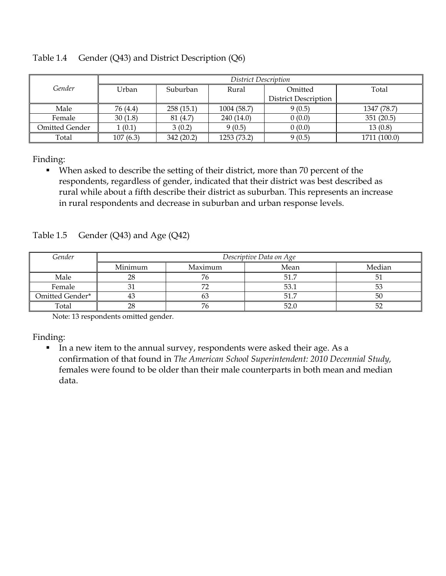|                | District Description |           |             |                      |              |  |  |  |
|----------------|----------------------|-----------|-------------|----------------------|--------------|--|--|--|
| Gender         | Urban                | Suburban  | Rural       | Omitted              | Total        |  |  |  |
|                |                      |           |             | District Description |              |  |  |  |
| Male           | 76 (4.4)             | 258(15.1) | 1004 (58.7) | 9(0.5)               | 1347 (78.7)  |  |  |  |
| Female         | 30(1.8)              | 81 (4.7)  | 240(14.0)   | 0(0.0)               | 351(20.5)    |  |  |  |
| Omitted Gender | 1(0.1)               | 3(0.2)    | 9(0.5)      | 0(0.0)               | 13(0.8)      |  |  |  |
| Total          | 107(6.3)             | 342(20.2) | 1253 (73.2) | 9(0.5)               | 1711 (100.0) |  |  |  |

Table 1.4 Gender (Q43) and District Description (Q6)

 When asked to describe the setting of their district, more than 70 percent of the respondents, regardless of gender, indicated that their district was best described as rural while about a fifth describe their district as suburban. This represents an increase in rural respondents and decrease in suburban and urban response levels.

Table 1.5 Gender (Q43) and Age (Q42)

| Gender          | Descriptive Data on Age |         |      |        |  |  |  |
|-----------------|-------------------------|---------|------|--------|--|--|--|
|                 | Minimum                 | Maximum | Mean | Median |  |  |  |
| Male            | 28                      | 76      | 51.7 | 51     |  |  |  |
| Female          |                         |         | 53.1 | 53     |  |  |  |
| Omitted Gender* |                         |         | 51.7 | 50     |  |  |  |
| Total           | າ໑                      |         | 52.0 | 52     |  |  |  |

Note: 13 respondents omitted gender.

Finding:

In a new item to the annual survey, respondents were asked their age. As a confirmation of that found in *The American School Superintendent: 2010 Decennial Study,*  females were found to be older than their male counterparts in both mean and median data.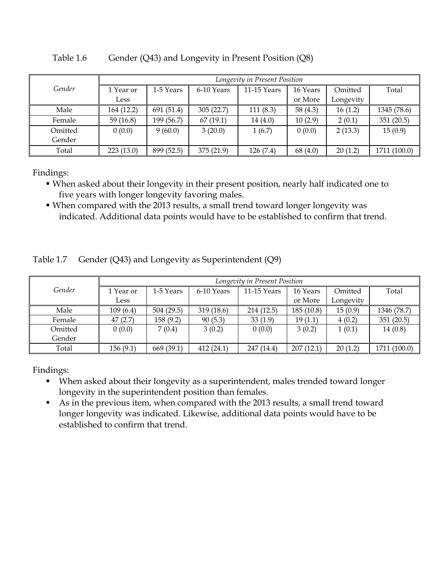|         | Longevity in Present Position |            |            |             |            |           |              |  |
|---------|-------------------------------|------------|------------|-------------|------------|-----------|--------------|--|
| Gender  | 1 Year or                     | 1-5 Years  | 6-10 Years | 11-15 Years | 16 Years   | Omitted   | Total        |  |
|         | Less                          |            |            |             | or More    | Longevity |              |  |
| Male    | 164 (12.2)                    | 691 (51.4) | 305(22.7)  | 111(8.3)    | 58 $(4.3)$ | 16(1.2)   | 1345 (78.6)  |  |
| Female  | 59 $(16.8)$                   | 199 (56.7) | 67(19.1)   | 14(4.0)     | 10(2.9)    | 2(0.1)    | 351(20.5)    |  |
| Omitted | 0(0.0)                        | 9(60.0)    | 3(20.0)    | 1(6.7)      | 0(0.0)     | 2(13.3)   | 15(0.9)      |  |
| Gender  |                               |            |            |             |            |           |              |  |
| Total   | 223(13.0)                     | 899 (52.5) | 375(21.9)  | 126 (7.4)   | 68 (4.0)   | 20(1.2)   | 1711 (100.0) |  |

Table 1.6 Gender (Q43) and Longevity in Present Position (Q8)

- When asked about their longevity in their present position, nearly half indicated one to five years with longer longevity favoring males.
- When compared with the 2013 results, a small trend toward longer longevity was indicated. Additional data points would have to be established to confirm that trend.

|  | Table 1.7 Gender (Q43) and Longevity as Superintendent (Q9) |
|--|-------------------------------------------------------------|
|--|-------------------------------------------------------------|

|         | Longevity in Present Position |            |            |             |            |           |              |  |
|---------|-------------------------------|------------|------------|-------------|------------|-----------|--------------|--|
| Gender  | 1 Year or                     | 1-5 Years  | 6-10 Years | 11-15 Years | 16 Years   | Omitted   | Total        |  |
|         | Less                          |            |            |             | or More    | Longevity |              |  |
| Male    | 109(6.4)                      | 504(29.5)  | 319(18.6)  | 214(12.5)   | 185 (10.8) | 15(0.9)   | 1346 (78.7)  |  |
| Female  | 47(2.7)                       | 158(9.2)   | 90(5.3)    | 33(1.9)     | 19(1.1)    | 4(0.2)    | 351(20.5)    |  |
| Omitted | 0(0.0)                        | 7(0.4)     | 3(0.2)     | 0(0.0)      | 3(0.2)     | 1(0.1)    | 14(0.8)      |  |
| Gender  |                               |            |            |             |            |           |              |  |
| Total   | 156(9.1)                      | 669 (39.1) | 412(24.1)  | 247 (14.4)  | 207(12.1)  | 20(1.2)   | 1711 (100.0) |  |

- When asked about their longevity as a superintendent, males trended toward longer longevity in the superintendent position than females.
- As in the previous item, when compared with the 2013 results, a small trend toward longer longevity was indicated. Likewise, additional data points would have to be established to confirm that trend.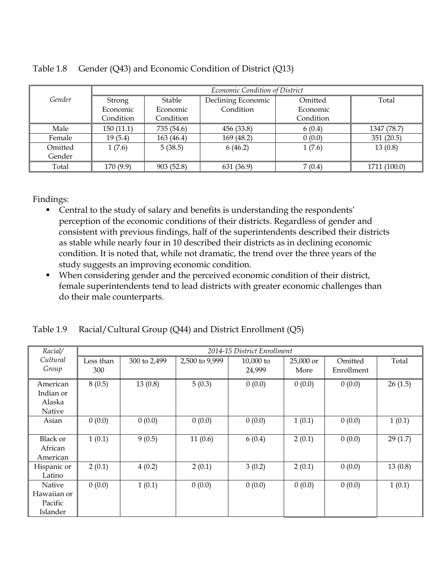|         |           | Economic Condition of District |                    |           |              |  |  |
|---------|-----------|--------------------------------|--------------------|-----------|--------------|--|--|
| Gender  | Strong    | Stable                         | Declining Economic | Omitted   | Total        |  |  |
|         | Economic  | Economic                       | Condition          | Economic  |              |  |  |
|         | Condition | Condition                      |                    | Condition |              |  |  |
| Male    | 150(11.1) | 735 (54.6)                     | 456 (33.8)         | 6(0.4)    | 1347 (78.7)  |  |  |
| Female  | 19(5.4)   | 163(46.4)                      | 169(48.2)          | 0(0.0)    | 351(20.5)    |  |  |
| Omitted | 1(7.6)    | 5(38.5)                        | 6(46.2)            | 1(7.6)    | 13(0.8)      |  |  |
| Gender  |           |                                |                    |           |              |  |  |
| Total   | 170 (9.9) | 903(52.8)                      | 631 (36.9)         | 7(0.4)    | 1711 (100.0) |  |  |

|  | Table 1.8 Gender (Q43) and Economic Condition of District (Q13) |
|--|-----------------------------------------------------------------|
|  |                                                                 |

- Central to the study of salary and benefits is understanding the respondents' perception of the economic conditions of their districts. Regardless of gender and consistent with previous findings, half of the superintendents described their districts as stable while nearly four in 10 described their districts as in declining economic condition. It is noted that, while not dramatic, the trend over the three years of the study suggests an improving economic condition.
- When considering gender and the perceived economic condition of their district, female superintendents tend to lead districts with greater economic challenges than do their male counterparts.

|  | Table 1.9 Racial/Cultural Group (Q44) and District Enrollment (Q5) |  |
|--|--------------------------------------------------------------------|--|
|  |                                                                    |  |

| Racial/     |           | 2014-15 District Enrollment |                |             |           |            |         |  |  |
|-------------|-----------|-----------------------------|----------------|-------------|-----------|------------|---------|--|--|
| Cultural    | Less than | 300 to 2,499                | 2,500 to 9,999 | $10,000$ to | 25,000 or | Omitted    | Total   |  |  |
| Group       | 300       |                             |                | 24,999      | More      | Enrollment |         |  |  |
| American    | 8(0.5)    | 13(0.8)                     | 5(0.3)         | 0(0.0)      | 0(0.0)    | 0(0.0)     | 26(1.5) |  |  |
| Indian or   |           |                             |                |             |           |            |         |  |  |
| Alaska      |           |                             |                |             |           |            |         |  |  |
| Native      |           |                             |                |             |           |            |         |  |  |
| Asian       | 0(0.0)    | 0(0.0)                      | 0(0.0)         | 0(0.0)      | 1(0.1)    | 0(0.0)     | 1(0.1)  |  |  |
|             |           |                             |                |             |           |            |         |  |  |
| Black or    | 1(0.1)    | 9(0.5)                      | 11(0.6)        | 6(0.4)      | 2(0.1)    | 0(0.0)     | 29(1.7) |  |  |
| African     |           |                             |                |             |           |            |         |  |  |
| American    |           |                             |                |             |           |            |         |  |  |
| Hispanic or | 2(0.1)    | 4(0.2)                      | 2(0.1)         | 3(0.2)      | 2(0.1)    | 0(0.0)     | 13(0.8) |  |  |
| Latino      |           |                             |                |             |           |            |         |  |  |
| Native      | 0(0.0)    | 1(0.1)                      | 0(0.0)         | 0(0.0)      | 0(0.0)    | 0(0.0)     | 1(0.1)  |  |  |
| Hawaiian or |           |                             |                |             |           |            |         |  |  |
| Pacific     |           |                             |                |             |           |            |         |  |  |
| Islander    |           |                             |                |             |           |            |         |  |  |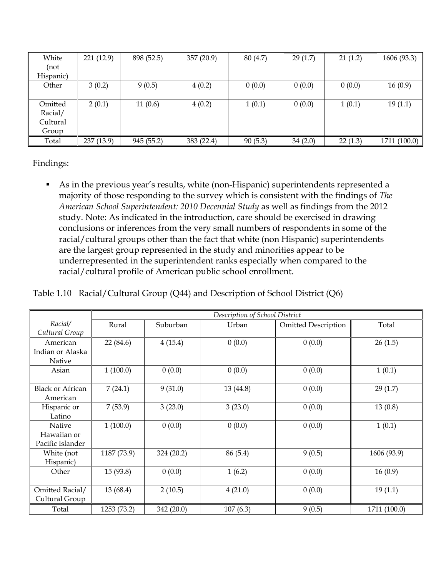| White     | 221 (12.9) | 898 (52.5) | 357 (20.9) | 80 (4.7) | 29(1.7) | 21(1.2) | 1606 (93.3)  |
|-----------|------------|------------|------------|----------|---------|---------|--------------|
| (not      |            |            |            |          |         |         |              |
| Hispanic) |            |            |            |          |         |         |              |
| Other     | 3(0.2)     | 9(0.5)     | 4(0.2)     | 0(0.0)   | 0(0.0)  | 0(0.0)  | 16(0.9)      |
|           |            |            |            |          |         |         |              |
| Omitted   | 2(0.1)     | 11(0.6)    | 4(0.2)     | 1(0.1)   | 0(0.0)  | 1(0.1)  | 19(1.1)      |
| Racial/   |            |            |            |          |         |         |              |
| Cultural  |            |            |            |          |         |         |              |
| Group     |            |            |            |          |         |         |              |
| Total     | 237 (13.9) | 945 (55.2) | 383 (22.4) | 90(5.3)  | 34(2.0) | 22(1.3) | 1711 (100.0) |

 As in the previous year's results, white (non-Hispanic) superintendents represented a majority of those responding to the survey which is consistent with the findings of *The American School Superintendent: 2010 Decennial Study* as well as findings from the 2012 study. Note: As indicated in the introduction, care should be exercised in drawing conclusions or inferences from the very small numbers of respondents in some of the racial/cultural groups other than the fact that white (non Hispanic) superintendents are the largest group represented in the study and minorities appear to be underrepresented in the superintendent ranks especially when compared to the racial/cultural profile of American public school enrollment.

| Table 1.10 Racial/Cultural Group (Q44) and Description of School District (Q6) |  |  |
|--------------------------------------------------------------------------------|--|--|
|                                                                                |  |  |

|                                           |             | Description of School District |           |                            |              |  |  |  |  |
|-------------------------------------------|-------------|--------------------------------|-----------|----------------------------|--------------|--|--|--|--|
| Racial/<br>Cultural Group                 | Rural       | Suburban                       | Urban     | <b>Omitted Description</b> | Total        |  |  |  |  |
| American                                  | 22 (84.6)   | 4(15.4)                        | 0(0.0)    | 0(0.0)                     | 26(1.5)      |  |  |  |  |
| Indian or Alaska<br>Native                |             |                                |           |                            |              |  |  |  |  |
| Asian                                     | 1(100.0)    | 0(0.0)                         | 0(0.0)    | 0(0.0)                     | 1(0.1)       |  |  |  |  |
| <b>Black or African</b><br>American       | 7(24.1)     | 9(31.0)                        | 13 (44.8) | 0(0.0)                     | 29(1.7)      |  |  |  |  |
| Hispanic or<br>Latino                     | 7(53.9)     | 3(23.0)                        | 3(23.0)   | 0(0.0)                     | 13(0.8)      |  |  |  |  |
| Native<br>Hawaiian or<br>Pacific Islander | 1(100.0)    | 0(0.0)                         | 0(0.0)    | 0(0.0)                     | 1(0.1)       |  |  |  |  |
| White (not<br>Hispanic)                   | 1187 (73.9) | 324 (20.2)                     | 86 (5.4)  | 9(0.5)                     | 1606 (93.9)  |  |  |  |  |
| Other                                     | 15 (93.8)   | 0(0.0)                         | 1(6.2)    | 0(0.0)                     | 16(0.9)      |  |  |  |  |
| Omitted Racial/<br>Cultural Group         | 13 (68.4)   | 2(10.5)                        | 4(21.0)   | 0(0.0)                     | 19(1.1)      |  |  |  |  |
| Total                                     | 1253 (73.2) | 342 (20.0)                     | 107(6.3)  | 9(0.5)                     | 1711 (100.0) |  |  |  |  |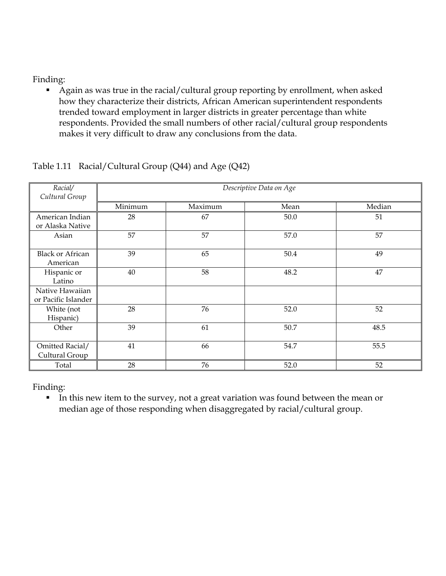Again as was true in the racial/cultural group reporting by enrollment, when asked how they characterize their districts, African American superintendent respondents trended toward employment in larger districts in greater percentage than white respondents. Provided the small numbers of other racial/cultural group respondents makes it very difficult to draw any conclusions from the data.

| Racial/<br>Cultural Group              | Descriptive Data on Age |         |      |        |  |  |  |  |
|----------------------------------------|-------------------------|---------|------|--------|--|--|--|--|
|                                        | Minimum                 | Maximum | Mean | Median |  |  |  |  |
| American Indian<br>or Alaska Native    | 28                      | 67      | 50.0 | 51     |  |  |  |  |
| Asian                                  | 57                      | 57      | 57.0 | 57     |  |  |  |  |
| <b>Black or African</b><br>American    | 39                      | 65      | 50.4 | 49     |  |  |  |  |
| Hispanic or<br>Latino                  | 40                      | 58      | 48.2 | 47     |  |  |  |  |
| Native Hawaiian<br>or Pacific Islander |                         |         |      |        |  |  |  |  |
| White (not<br>Hispanic)                | 28                      | 76      | 52.0 | 52     |  |  |  |  |
| Other                                  | 39                      | 61      | 50.7 | 48.5   |  |  |  |  |
| Omitted Racial/<br>Cultural Group      | 41                      | 66      | 54.7 | 55.5   |  |  |  |  |
| Total                                  | 28                      | 76      | 52.0 | 52     |  |  |  |  |

#### Table 1.11 Racial/Cultural Group (Q44) and Age (Q42)

Finding:

In this new item to the survey, not a great variation was found between the mean or median age of those responding when disaggregated by racial/cultural group.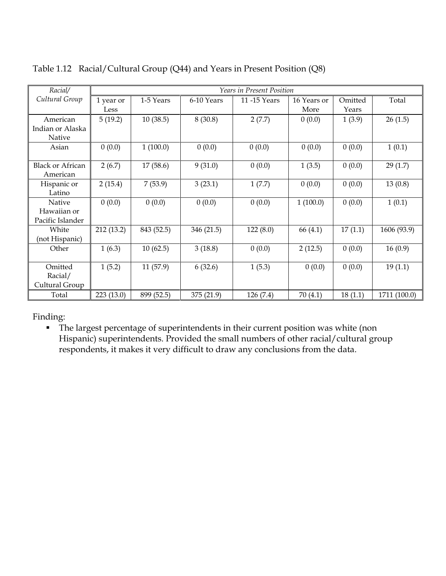| Racial/                 |            |            |            | <b>Years in Present Position</b> |             |         |              |
|-------------------------|------------|------------|------------|----------------------------------|-------------|---------|--------------|
| Cultural Group          | 1 year or  | 1-5 Years  | 6-10 Years | 11-15 Years                      | 16 Years or | Omitted | Total        |
|                         | Less       |            |            |                                  | More        | Years   |              |
| American                | 5(19.2)    | 10(38.5)   | 8(30.8)    | 2(7.7)                           | 0(0.0)      | 1(3.9)  | 26(1.5)      |
| Indian or Alaska        |            |            |            |                                  |             |         |              |
| Native                  |            |            |            |                                  |             |         |              |
| Asian                   | 0(0.0)     | 1(100.0)   | 0(0.0)     | 0(0.0)                           | 0(0.0)      | 0(0.0)  | 1(0.1)       |
|                         |            |            |            |                                  |             |         |              |
| <b>Black or African</b> | 2(6.7)     | 17(58.6)   | 9(31.0)    | 0(0.0)                           | 1(3.5)      | 0(0.0)  | 29(1.7)      |
| American                |            |            |            |                                  |             |         |              |
| Hispanic or             | 2(15.4)    | 7(53.9)    | 3(23.1)    | 1(7.7)                           | 0(0.0)      | 0(0.0)  | 13(0.8)      |
| Latino                  |            |            |            |                                  |             |         |              |
| <b>Native</b>           | 0(0.0)     | 0(0.0)     | 0(0.0)     | 0(0.0)                           | 1(100.0)    | 0(0.0)  | 1(0.1)       |
| Hawaiian or             |            |            |            |                                  |             |         |              |
| Pacific Islander        |            |            |            |                                  |             |         |              |
| White                   | 212 (13.2) | 843 (52.5) | 346 (21.5) | 122(8.0)                         | 66 (4.1)    | 17(1.1) | 1606 (93.9)  |
| (not Hispanic)          |            |            |            |                                  |             |         |              |
| Other                   | 1(6.3)     | 10(62.5)   | 3(18.8)    | 0(0.0)                           | 2(12.5)     | 0(0.0)  | 16(0.9)      |
|                         |            |            |            |                                  |             |         |              |
| Omitted                 | 1(5.2)     | 11(57.9)   | 6(32.6)    | 1(5.3)                           | 0(0.0)      | 0(0.0)  | 19(1.1)      |
| Racial/                 |            |            |            |                                  |             |         |              |
| Cultural Group          |            |            |            |                                  |             |         |              |
| Total                   | 223 (13.0) | 899 (52.5) | 375 (21.9) | 126 (7.4)                        | 70(4.1)     | 18(1.1) | 1711 (100.0) |

Table 1.12 Racial/Cultural Group (Q44) and Years in Present Position (Q8)

• The largest percentage of superintendents in their current position was white (non Hispanic) superintendents. Provided the small numbers of other racial/cultural group respondents, it makes it very difficult to draw any conclusions from the data.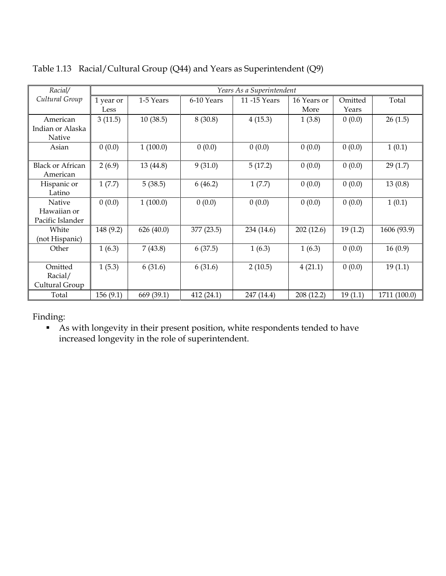| Racial/                 |           |            |            | Years As a Superintendent |             |         |              |
|-------------------------|-----------|------------|------------|---------------------------|-------------|---------|--------------|
| Cultural Group          | 1 year or | 1-5 Years  | 6-10 Years | 11 -15 Years              | 16 Years or | Omitted | Total        |
|                         | Less      |            |            |                           | More        | Years   |              |
| American                | 3(11.5)   | 10(38.5)   | 8(30.8)    | 4(15.3)                   | 1(3.8)      | 0(0.0)  | 26(1.5)      |
| Indian or Alaska        |           |            |            |                           |             |         |              |
| Native                  |           |            |            |                           |             |         |              |
| Asian                   | 0(0.0)    | 1(100.0)   | 0(0.0)     | 0(0.0)                    | 0(0.0)      | 0(0.0)  | 1(0.1)       |
| <b>Black or African</b> | 2(6.9)    | 13 (44.8)  | 9(31.0)    | 5(17.2)                   | 0(0.0)      | 0(0.0)  | 29(1.7)      |
| American                |           |            |            |                           |             |         |              |
| Hispanic or             | 1(7.7)    | 5(38.5)    | 6(46.2)    | 1(7.7)                    | 0(0.0)      | 0(0.0)  | 13(0.8)      |
| Latino                  |           |            |            |                           |             |         |              |
| Native                  | 0(0.0)    | 1(100.0)   | 0(0.0)     | 0(0.0)                    | 0(0.0)      | 0(0.0)  | 1(0.1)       |
| Hawaiian or             |           |            |            |                           |             |         |              |
| Pacific Islander        |           |            |            |                           |             |         |              |
| White                   | 148 (9.2) | 626 (40.0) | 377 (23.5) | 234 (14.6)                | 202(12.6)   | 19(1.2) | 1606 (93.9)  |
| (not Hispanic)          |           |            |            |                           |             |         |              |
| Other                   | 1(6.3)    | 7(43.8)    | 6(37.5)    | 1(6.3)                    | 1(6.3)      | 0(0.0)  | 16(0.9)      |
| Omitted                 | 1(5.3)    | 6(31.6)    | 6(31.6)    | 2(10.5)                   | 4(21.1)     | 0(0.0)  | 19(1.1)      |
| Racial/                 |           |            |            |                           |             |         |              |
| Cultural Group          |           |            |            |                           |             |         |              |
| Total                   | 156(9.1)  | 669 (39.1) | 412 (24.1) | 247 (14.4)                | 208 (12.2)  | 19(1.1) | 1711 (100.0) |

Table 1.13 Racial/Cultural Group (Q44) and Years as Superintendent (Q9)

 As with longevity in their present position, white respondents tended to have increased longevity in the role of superintendent.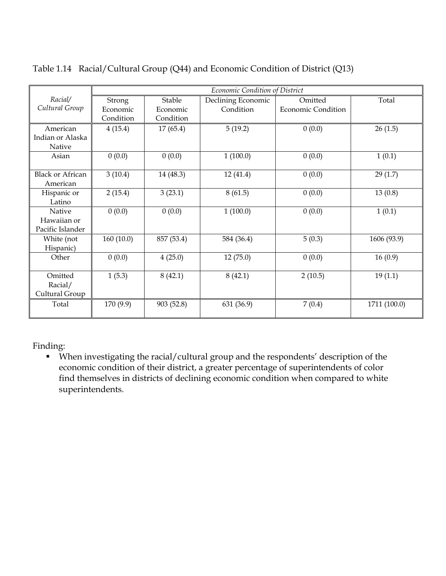|                                           |           |            | Economic Condition of District |                           |              |
|-------------------------------------------|-----------|------------|--------------------------------|---------------------------|--------------|
| Racial/                                   | Strong    | Stable     | Declining Economic             | Omitted                   | Total        |
| Cultural Group                            | Economic  | Economic   | Condition                      | <b>Economic Condition</b> |              |
|                                           | Condition | Condition  |                                |                           |              |
| American                                  | 4(15.4)   | 17(65.4)   | 5(19.2)                        | 0(0.0)                    | 26(1.5)      |
| Indian or Alaska                          |           |            |                                |                           |              |
| Native                                    |           |            |                                |                           |              |
| Asian                                     | 0(0.0)    | 0(0.0)     | 1(100.0)                       | 0(0.0)                    | 1(0.1)       |
| <b>Black or African</b><br>American       | 3(10.4)   | 14 (48.3)  | 12(41.4)                       | 0(0.0)                    | 29(1.7)      |
| Hispanic or<br>Latino                     | 2(15.4)   | 3(23.1)    | 8(61.5)                        | 0(0.0)                    | 13(0.8)      |
| Native<br>Hawaiian or<br>Pacific Islander | 0(0.0)    | 0(0.0)     | 1(100.0)                       | 0(0.0)                    | 1(0.1)       |
| White (not<br>Hispanic)                   | 160(10.0) | 857 (53.4) | 584 (36.4)                     | 5(0.3)                    | 1606 (93.9)  |
| Other                                     | 0(0.0)    | 4(25.0)    | 12(75.0)                       | 0(0.0)                    | 16(0.9)      |
| Omitted<br>Racial/<br>Cultural Group      | 1(5.3)    | 8(42.1)    | 8(42.1)                        | 2(10.5)                   | 19(1.1)      |
| Total                                     | 170 (9.9) | 903 (52.8) | 631 (36.9)                     | 7(0.4)                    | 1711 (100.0) |

Table 1.14 Racial/Cultural Group (Q44) and Economic Condition of District (Q13)

 When investigating the racial/cultural group and the respondents' description of the economic condition of their district, a greater percentage of superintendents of color find themselves in districts of declining economic condition when compared to white superintendents.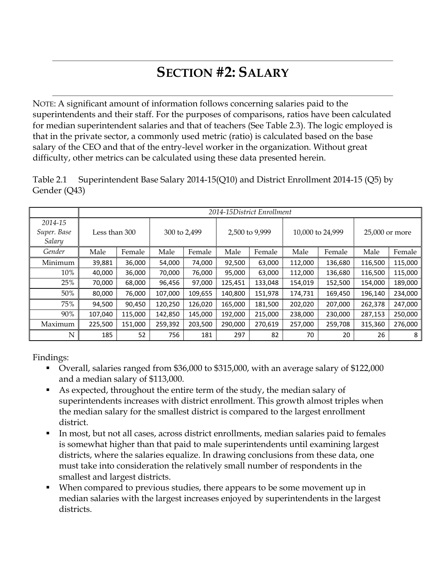# **SECTION #2: SALARY**

NOTE: A significant amount of information follows concerning salaries paid to the superintendents and their staff. For the purposes of comparisons, ratios have been calculated for median superintendent salaries and that of teachers (See Table 2.3). The logic employed is that in the private sector, a commonly used metric (ratio) is calculated based on the base salary of the CEO and that of the entry-level worker in the organization. Without great difficulty, other metrics can be calculated using these data presented herein.

|                                  |               |         |         |              |         | 2014-15District Enrollment |         |                  |                |         |
|----------------------------------|---------------|---------|---------|--------------|---------|----------------------------|---------|------------------|----------------|---------|
| 2014-15<br>Super. Base<br>Salary | Less than 300 |         |         | 300 to 2,499 |         | 2,500 to 9,999             |         | 10,000 to 24,999 | 25,000 or more |         |
| Gender                           | Male          | Female  | Male    | Female       | Male    | Female                     | Male    | Female           | Male           | Female  |
| Minimum                          | 39,881        | 36,000  | 54,000  | 74,000       | 92,500  | 63,000                     | 112,000 | 136,680          | 116,500        | 115,000 |
| 10%                              | 40,000        | 36,000  | 70,000  | 76,000       | 95,000  | 63,000                     | 112,000 | 136,680          | 116,500        | 115,000 |
| 25%                              | 70,000        | 68,000  | 96,456  | 97,000       | 125,451 | 133,048                    | 154,019 | 152,500          | 154,000        | 189,000 |
| 50%                              | 80,000        | 76,000  | 107,000 | 109,655      | 140,800 | 151,978                    | 174,731 | 169,450          | 196,140        | 234,000 |
| 75%                              | 94,500        | 90,450  | 120,250 | 126,020      | 165,000 | 181,500                    | 202,020 | 207,000          | 262,378        | 247,000 |
| 90%                              | 107,040       | 115,000 | 142,850 | 145,000      | 192,000 | 215,000                    | 238,000 | 230,000          | 287,153        | 250,000 |
| Maximum                          | 225,500       | 151,000 | 259,392 | 203,500      | 290,000 | 270,619                    | 257,000 | 259,708          | 315,360        | 276,000 |
| ${\bf N}$                        | 185           | 52      | 756     | 181          | 297     | 82                         | 70      | 20               | 26             | 8       |

Table 2.1 Superintendent Base Salary 2014-15(Q10) and District Enrollment 2014-15 (Q5) by Gender (Q43)

- Overall, salaries ranged from \$36,000 to \$315,000, with an average salary of \$122,000 and a median salary of \$113,000.
- As expected, throughout the entire term of the study, the median salary of superintendents increases with district enrollment. This growth almost triples when the median salary for the smallest district is compared to the largest enrollment district.
- In most, but not all cases, across district enrollments, median salaries paid to females is somewhat higher than that paid to male superintendents until examining largest districts, where the salaries equalize. In drawing conclusions from these data, one must take into consideration the relatively small number of respondents in the smallest and largest districts.
- When compared to previous studies, there appears to be some movement up in median salaries with the largest increases enjoyed by superintendents in the largest districts.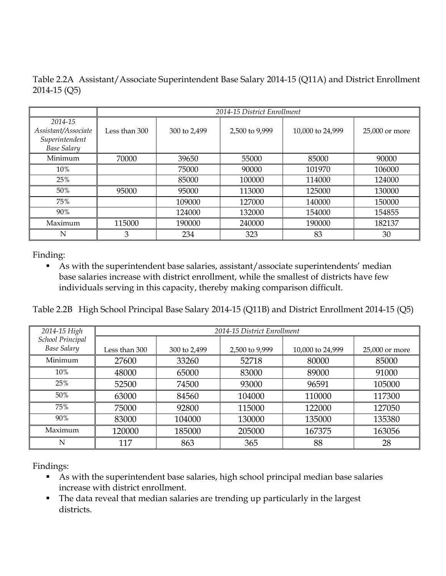Table 2.2A Assistant/Associate Superintendent Base Salary 2014-15 (Q11A) and District Enrollment 2014-15 (Q5)

|                                                                        |               | 2014-15 District Enrollment |                |                  |                |  |  |  |  |
|------------------------------------------------------------------------|---------------|-----------------------------|----------------|------------------|----------------|--|--|--|--|
| 2014-15<br>Assistant/Associate<br>Superintendent<br><b>Base Salary</b> | Less than 300 | 300 to 2,499                | 2,500 to 9,999 | 10,000 to 24,999 | 25,000 or more |  |  |  |  |
| Minimum                                                                | 70000         | 39650                       | 55000          | 85000            | 90000          |  |  |  |  |
| 10%                                                                    |               | 75000                       | 90000          | 101970           | 106000         |  |  |  |  |
| 25%                                                                    |               | 85000                       | 100000         | 114000           | 124000         |  |  |  |  |
| 50%                                                                    | 95000         | 95000                       | 113000         | 125000           | 130000         |  |  |  |  |
| 75%                                                                    |               | 109000                      | 127000         | 140000           | 150000         |  |  |  |  |
| 90%                                                                    |               | 124000                      | 132000         | 154000           | 154855         |  |  |  |  |
| Maximum                                                                | 115000        | 190000                      | 240000         | 190000           | 182137         |  |  |  |  |
| N                                                                      | 3             | 234                         | 323            | 83               | 30             |  |  |  |  |

 As with the superintendent base salaries, assistant/associate superintendents' median base salaries increase with district enrollment, while the smallest of districts have few individuals serving in this capacity, thereby making comparison difficult.

Table 2.2B High School Principal Base Salary 2014-15 (Q11B) and District Enrollment 2014-15 (Q5)

| 2014-15 High                           |                 | 2014-15 District Enrollment |                |                  |                |  |  |  |  |
|----------------------------------------|-----------------|-----------------------------|----------------|------------------|----------------|--|--|--|--|
| School Principal<br><b>Base Salary</b> | Less than 300 . | 300 to 2,499                | 2,500 to 9,999 | 10,000 to 24,999 | 25,000 or more |  |  |  |  |
| Minimum                                | 27600           | 33260                       | 52718          | 80000            | 85000          |  |  |  |  |
| 10%                                    | 48000           | 65000                       | 83000          | 89000            | 91000          |  |  |  |  |
| 25%                                    | 52500           | 74500                       | 93000          | 96591            | 105000         |  |  |  |  |
| 50%                                    | 63000           | 84560                       | 104000         | 110000           | 117300         |  |  |  |  |
| 75%                                    | 75000           | 92800                       | 115000         | 122000           | 127050         |  |  |  |  |
| 90%                                    | 83000           | 104000                      | 130000         | 135000           | 135380         |  |  |  |  |
| Maximum                                | 120000          | 185000                      | 205000         | 167375           | 163056         |  |  |  |  |
| N                                      | 117             | 863                         | 365            | 88               | 28             |  |  |  |  |

- As with the superintendent base salaries, high school principal median base salaries increase with district enrollment.
- The data reveal that median salaries are trending up particularly in the largest districts.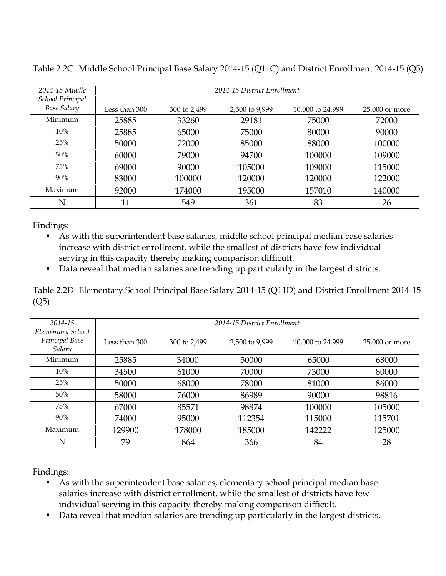| 2014-15 Middle                         | 2014-15 District Enrollment |              |                |                  |                |
|----------------------------------------|-----------------------------|--------------|----------------|------------------|----------------|
| School Principal<br><b>Base Salary</b> | Less than 300               | 300 to 2,499 | 2,500 to 9,999 | 10,000 to 24,999 | 25,000 or more |
| Minimum                                | 25885                       | 33260        | 29181          | 75000            | 72000          |
| 10%                                    | 25885                       | 65000        | 75000          | 80000            | 90000          |
| 25%                                    | 50000                       | 72000        | 85000          | 88000            | 100000         |
| 50%                                    | 60000                       | 79000        | 94700          | 100000           | 109000         |
| 75%                                    | 69000                       | 90000        | 105000         | 109000           | 115000         |
| 90%                                    | 83000                       | 100000       | 120000         | 120000           | 122000         |
| Maximum                                | 92000                       | 174000       | 195000         | 157010           | 140000         |
| N                                      | 11                          | 549          | 361            | 83               | 26             |

Table 2.2C Middle School Principal Base Salary 2014-15 (Q11C) and District Enrollment 2014-15 (Q5)

- As with the superintendent base salaries, middle school principal median base salaries increase with district enrollment, while the smallest of districts have few individual serving in this capacity thereby making comparison difficult.
- Data reveal that median salaries are trending up particularly in the largest districts.

Table 2.2D Elementary School Principal Base Salary 2014-15 (Q11D) and District Enrollment 2014-15 (Q5)

| 2014-15                                       |               | 2014-15 District Enrollment |                |                  |                |
|-----------------------------------------------|---------------|-----------------------------|----------------|------------------|----------------|
| Elementary School<br>Principal Base<br>Salary | Less than 300 | 300 to 2,499                | 2,500 to 9,999 | 10,000 to 24,999 | 25,000 or more |
| Minimum                                       | 25885         | 34000                       | 50000          | 65000            | 68000          |
| 10%                                           | 34500         | 61000                       | 70000          | 73000            | 80000          |
| 25%                                           | 50000         | 68000                       | 78000          | 81000            | 86000          |
| 50%                                           | 58000         | 76000                       | 86989          | 90000            | 98816          |
| 75%                                           | 67000         | 85571                       | 98874          | 100000           | 105000         |
| 90%                                           | 74000         | 95000                       | 112354         | 115000           | 115701         |
| Maximum                                       | 129900        | 178000                      | 185000         | 142222           | 125000         |
| N                                             | 79            | 864                         | 366            | 84               | 28             |

- As with the superintendent base salaries, elementary school principal median base salaries increase with district enrollment, while the smallest of districts have few individual serving in this capacity thereby making comparison difficult.
- Data reveal that median salaries are trending up particularly in the largest districts.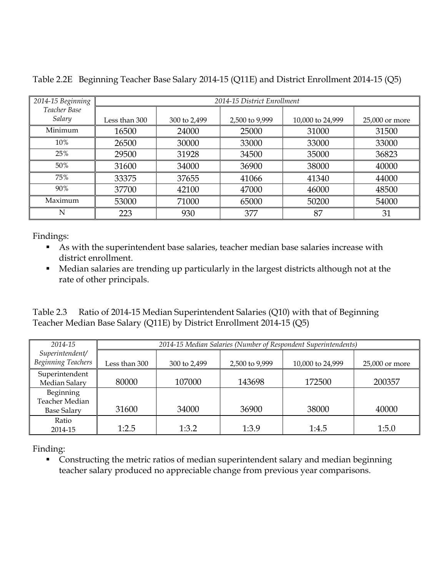| 2014-15 Beginning      | 2014-15 District Enrollment |              |                |                  |                |
|------------------------|-----------------------------|--------------|----------------|------------------|----------------|
| Teacher Base<br>Salary | Less than 300               | 300 to 2,499 | 2,500 to 9,999 | 10,000 to 24,999 | 25,000 or more |
| Minimum                | 16500                       | 24000        | 25000          | 31000            | 31500          |
| 10%                    | 26500                       | 30000        | 33000          | 33000            | 33000          |
| 25%                    | 29500                       | 31928        | 34500          | 35000            | 36823          |
| 50%                    | 31600                       | 34000        | 36900          | 38000            | 40000          |
| 75%                    | 33375                       | 37655        | 41066          | 41340            | 44000          |
| 90%                    | 37700                       | 42100        | 47000          | 46000            | 48500          |
| Maximum                | 53000                       | 71000        | 65000          | 50200            | 54000          |
| N                      | 223                         | 930          | 377            | 87               | 31             |

Table 2.2E Beginning Teacher Base Salary 2014-15 (Q11E) and District Enrollment 2014-15 (Q5)

- As with the superintendent base salaries, teacher median base salaries increase with district enrollment.
- Median salaries are trending up particularly in the largest districts although not at the rate of other principals.

Table 2.3 Ratio of 2014-15 Median Superintendent Salaries (Q10) with that of Beginning Teacher Median Base Salary (Q11E) by District Enrollment 2014-15 (Q5)

| 2014-15 Median Salaries (Number of Respondent Superintendents) |                |                |                  |                  |
|----------------------------------------------------------------|----------------|----------------|------------------|------------------|
| Less than 300                                                  | 300 to 2,499   | 2,500 to 9,999 | 10,000 to 24,999 | $25,000$ or more |
| 80000                                                          | 107000         | 143698         | 172500           | 200357           |
|                                                                |                |                |                  | 40000            |
|                                                                |                |                |                  | 1:5.0            |
|                                                                | 31600<br>1:2.5 | 34000<br>1:3.2 | 36900<br>1:3.9   | 38000<br>1:4.5   |

Finding:

 Constructing the metric ratios of median superintendent salary and median beginning teacher salary produced no appreciable change from previous year comparisons.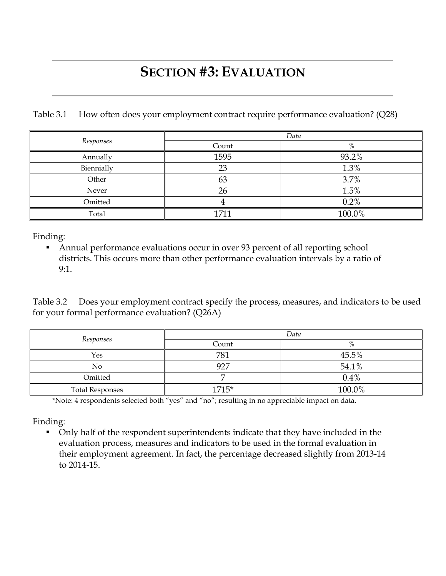## **SECTION #3: EVALUATION**

Table 3.1 How often does your employment contract require performance evaluation? (Q28)

|            | Data  |        |  |
|------------|-------|--------|--|
| Responses  | Count | %      |  |
| Annually   | 1595  | 93.2%  |  |
| Biennially | 23    | 1.3%   |  |
| Other      | 63    | 3.7%   |  |
| Never      | 26    | 1.5%   |  |
| Omitted    | 4     | 0.2%   |  |
| Total      | 1711  | 100.0% |  |

Finding:

 Annual performance evaluations occur in over 93 percent of all reporting school districts. This occurs more than other performance evaluation intervals by a ratio of 9:1.

Table 3.2 Does your employment contract specify the process, measures, and indicators to be used for your formal performance evaluation? (Q26A)

|                        | Data  |        |  |
|------------------------|-------|--------|--|
| Responses              | Count |        |  |
| Yes                    | 781   | 45.5%  |  |
| N <sub>o</sub>         | 927   | 54.1%  |  |
| Omitted                |       | 0.4%   |  |
| <b>Total Responses</b> | 1715* | 100.0% |  |

\*Note: 4 respondents selected both "yes" and "no"; resulting in no appreciable impact on data.

Finding:

 Only half of the respondent superintendents indicate that they have included in the evaluation process, measures and indicators to be used in the formal evaluation in their employment agreement. In fact, the percentage decreased slightly from 2013-14 to 2014-15.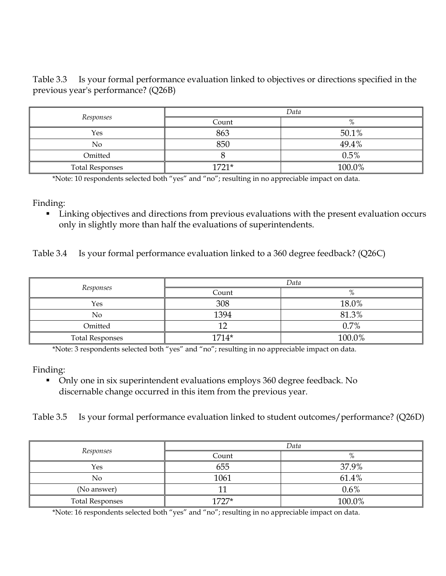Table 3.3 Is your formal performance evaluation linked to objectives or directions specified in the previous year's performance? (Q26B)

|                        | Data    |        |  |
|------------------------|---------|--------|--|
| Responses              | Count   | $\%$   |  |
| Yes                    | 863     | 50.1%  |  |
| No                     | 850     | 49.4%  |  |
| Omitted                |         | 0.5%   |  |
| <b>Total Responses</b> | $1721*$ | 100.0% |  |

\*Note: 10 respondents selected both "yes" and "no"; resulting in no appreciable impact on data.

Finding:

 Linking objectives and directions from previous evaluations with the present evaluation occurs only in slightly more than half the evaluations of superintendents.

Table 3.4 Is your formal performance evaluation linked to a 360 degree feedback? (Q26C)

|                        | Data    |        |  |
|------------------------|---------|--------|--|
| Responses              | Count   | $\%$   |  |
| Yes                    | 308     | 18.0%  |  |
| No                     | 1394    | 81.3%  |  |
| Omitted                | 1 O     | 0.7%   |  |
| <b>Total Responses</b> | $1714*$ | 100.0% |  |

\*Note: 3 respondents selected both "yes" and "no"; resulting in no appreciable impact on data.

Finding:

- Only one in six superintendent evaluations employs 360 degree feedback. No discernable change occurred in this item from the previous year.
- Table 3.5 Is your formal performance evaluation linked to student outcomes/performance? (Q26D)

|                        | Data    |         |  |
|------------------------|---------|---------|--|
| Responses              | Count   | $\%$    |  |
| Yes                    | 655     | 37.9%   |  |
| No                     | 1061    | 61.4%   |  |
| (No answer)            |         | $0.6\%$ |  |
| <b>Total Responses</b> | $1727*$ | 100.0%  |  |

\*Note: 16 respondents selected both "yes" and "no"; resulting in no appreciable impact on data.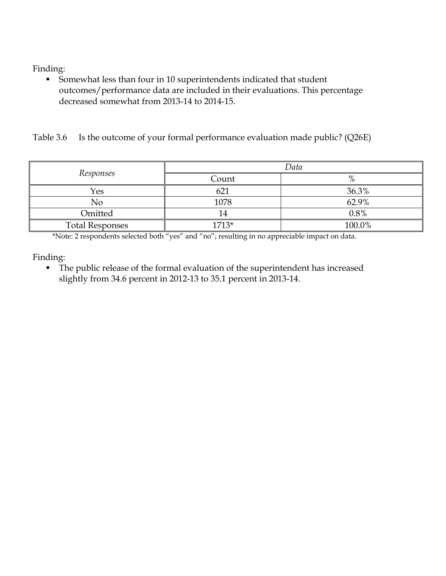Somewhat less than four in 10 superintendents indicated that student outcomes/performance data are included in their evaluations. This percentage decreased somewhat from 2013-14 to 2014-15.

Table 3.6 Is the outcome of your formal performance evaluation made public? (Q26E)

|                        | Data  |         |  |
|------------------------|-------|---------|--|
| Responses              | Count | $\%$    |  |
| Yes                    | 621   | 36.3%   |  |
| No                     | 1078  | 62.9%   |  |
| Omitted                | 14    | $0.8\%$ |  |
| <b>Total Responses</b> | 1713* | 100.0%  |  |

\*Note: 2 respondents selected both "yes" and "no"; resulting in no appreciable impact on data.

Finding:

 The public release of the formal evaluation of the superintendent has increased slightly from 34.6 percent in 2012-13 to 35.1 percent in 2013-14.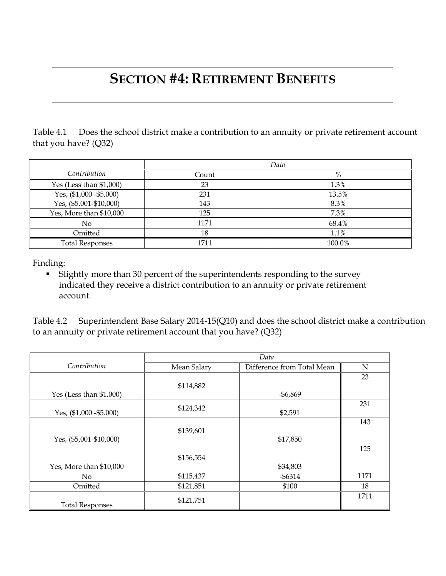### **SECTION #4: RETIREMENT BENEFITS**

Table 4.1 Does the school district make a contribution to an annuity or private retirement account that you have? (Q32)

|                           | Data  |        |  |
|---------------------------|-------|--------|--|
| Contribution              | Count | %      |  |
| Yes (Less than $$1,000$ ) | 23    | 1.3%   |  |
| Yes, $($1,000 - $5.000)$  | 231   | 13.5%  |  |
| Yes, (\$5,001-\$10,000)   | 143   | 8.3%   |  |
| Yes, More than \$10,000   | 125   | 7.3%   |  |
| N <sub>0</sub>            | 1171  | 68.4%  |  |
| Omitted                   | 18    | 1.1%   |  |
| <b>Total Responses</b>    | 1711  | 100.0% |  |

Finding:

 Slightly more than 30 percent of the superintendents responding to the survey indicated they receive a district contribution to an annuity or private retirement account.

Table 4.2 Superintendent Base Salary 2014-15(Q10) and does the school district make a contribution to an annuity or private retirement account that you have? (Q32)

|                            | Data        |                            |      |
|----------------------------|-------------|----------------------------|------|
| Contribution               | Mean Salary | Difference from Total Mean | N    |
|                            |             |                            | 23   |
|                            | \$114,882   |                            |      |
| Yes (Less than $$1,000$ )  |             | $-$ \$6,869                |      |
|                            | \$124,342   |                            | 231  |
| Yes, $(\$1,000 - \$5.000)$ |             | \$2,591                    |      |
|                            |             |                            | 143  |
|                            | \$139,601   |                            |      |
| Yes, (\$5,001-\$10,000)    |             | \$17,850                   |      |
|                            |             |                            | 125  |
|                            | \$156,554   |                            |      |
| Yes, More than \$10,000    |             | \$34,803                   |      |
| No                         | \$115,437   | $-$ \$6314                 | 1171 |
| Omitted                    | \$121,851   | \$100                      | 18   |
| <b>Total Responses</b>     | \$121,751   |                            | 1711 |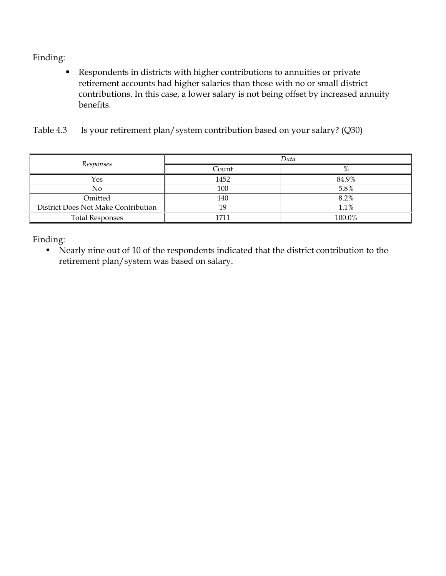Respondents in districts with higher contributions to annuities or private retirement accounts had higher salaries than those with no or small district contributions. In this case, a lower salary is not being offset by increased annuity benefits.

| Table 4.3 Is your retirement plan/system contribution based on your salary? (Q30) |  |  |
|-----------------------------------------------------------------------------------|--|--|
|                                                                                   |  |  |

|                                     | Data  |        |  |
|-------------------------------------|-------|--------|--|
| Responses                           | Count | $\%$   |  |
| Yes                                 | 1452  | 84.9%  |  |
| No                                  | 100   | 5.8%   |  |
| Omitted                             | 140   | 8.2%   |  |
| District Does Not Make Contribution |       | 1.1%   |  |
| <b>Total Responses</b>              | 1711  | 100.0% |  |

Finding:

 Nearly nine out of 10 of the respondents indicated that the district contribution to the retirement plan/system was based on salary.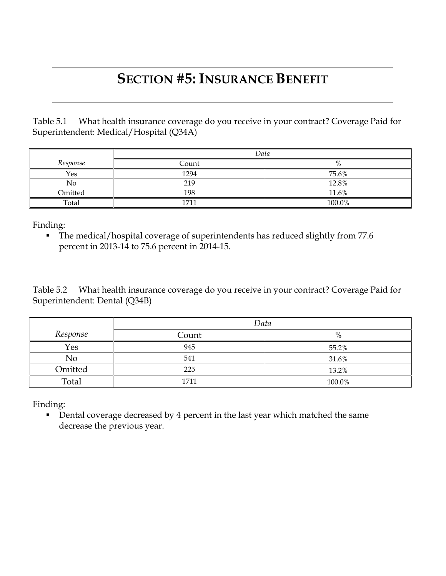### **SECTION #5: INSURANCE BENEFIT**

Table 5.1 What health insurance coverage do you receive in your contract? Coverage Paid for Superintendent: Medical/Hospital (Q34A)

|          | Data  |        |
|----------|-------|--------|
| Response | Count | %      |
| Yes      | 1294  | 75.6%  |
| No       | 219   | 12.8%  |
| Omitted  | 198   | 11.6%  |
| Total    | 1711  | 100.0% |

Finding:

 The medical/hospital coverage of superintendents has reduced slightly from 77.6 percent in 2013-14 to 75.6 percent in 2014-15.

Table 5.2 What health insurance coverage do you receive in your contract? Coverage Paid for Superintendent: Dental (Q34B)

|                | Data  |          |
|----------------|-------|----------|
| Response       | Count | 0/<br>70 |
| Yes            | 945   | 55.2%    |
| N <sub>o</sub> | 541   | 31.6%    |
| Omitted        | 225   | 13.2%    |
| Total          | 1711  | 100.0%   |

Finding:

Dental coverage decreased by 4 percent in the last year which matched the same decrease the previous year.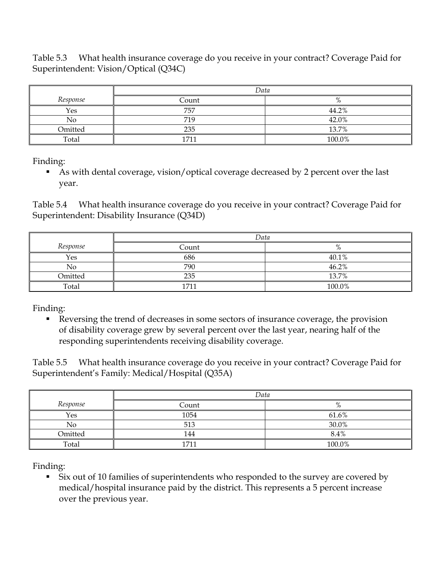Table 5.3 What health insurance coverage do you receive in your contract? Coverage Paid for Superintendent: Vision/Optical (Q34C)

|          | Data  |               |  |
|----------|-------|---------------|--|
| Response | Count | $\mathbf{O}/$ |  |
| Yes      | 757   | 44.2%         |  |
| No       | 719   | 42.0%         |  |
| Omitted  | 235   | 13.7%         |  |
| Total    | 1711  | 100.0%        |  |

Finding:

 As with dental coverage, vision/optical coverage decreased by 2 percent over the last year.

Table 5.4 What health insurance coverage do you receive in your contract? Coverage Paid for Superintendent: Disability Insurance (Q34D)

|          | Data  |        |
|----------|-------|--------|
| Response | Count | %      |
| Yes      | 686   | 40.1%  |
| No       | 790   | 46.2%  |
| Omitted  | 235   | 13.7%  |
| Total    | 171.  | 100.0% |

Finding:

Reversing the trend of decreases in some sectors of insurance coverage, the provision of disability coverage grew by several percent over the last year, nearing half of the responding superintendents receiving disability coverage.

Table 5.5 What health insurance coverage do you receive in your contract? Coverage Paid for Superintendent's Family: Medical/Hospital (Q35A)

|          | Data  |         |
|----------|-------|---------|
| Response | Count | %       |
| Yes      | 1054  | 61.6%   |
| No       | 513   | 30.0%   |
| Omitted  | 144   | $8.4\%$ |
| Total    | 1711  | 100.0%  |

Finding:

 Six out of 10 families of superintendents who responded to the survey are covered by medical/hospital insurance paid by the district. This represents a 5 percent increase over the previous year.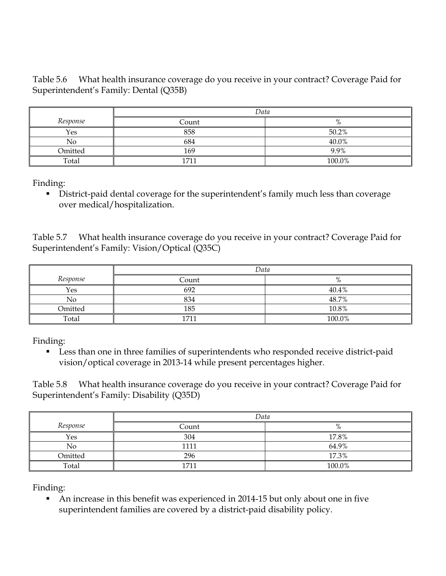Table 5.6 What health insurance coverage do you receive in your contract? Coverage Paid for Superintendent's Family: Dental (Q35B)

|          | Data  |        |
|----------|-------|--------|
| Response | Count | $\%$   |
| Yes      | 858   | 50.2%  |
| No       | 684   | 40.0%  |
| Omitted  | 169   | 9.9%   |
| Total    | 1711  | 100.0% |

Finding:

 District-paid dental coverage for the superintendent's family much less than coverage over medical/hospitalization.

Table 5.7 What health insurance coverage do you receive in your contract? Coverage Paid for Superintendent's Family: Vision/Optical (Q35C)

|          | Data  |        |
|----------|-------|--------|
| Response | Count | $\%$   |
| Yes      | 692   | 40.4%  |
| No       | 834   | 48.7%  |
| Omitted  | 185   | 10.8%  |
| Total    | 1711  | 100.0% |

Finding:

 Less than one in three families of superintendents who responded receive district-paid vision/optical coverage in 2013-14 while present percentages higher.

Table 5.8 What health insurance coverage do you receive in your contract? Coverage Paid for Superintendent's Family: Disability (Q35D)

|          | Data  |        |
|----------|-------|--------|
| Response | Count | %      |
| Yes      | 304   | 17.8%  |
| No       | 1111  | 64.9%  |
| Omitted  | 296   | 17.3%  |
| Total    | 1711  | 100.0% |

Finding:

 An increase in this benefit was experienced in 2014-15 but only about one in five superintendent families are covered by a district-paid disability policy.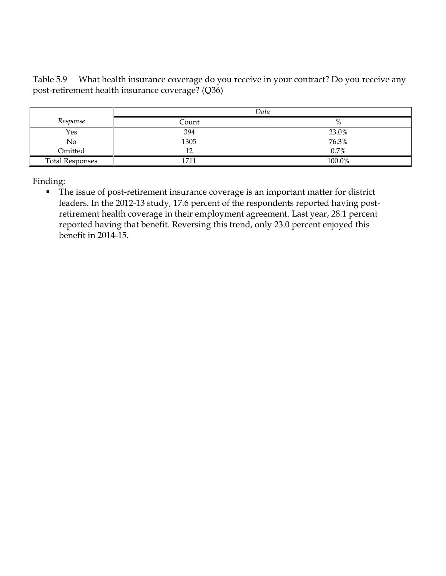Table 5.9 What health insurance coverage do you receive in your contract? Do you receive any post-retirement health insurance coverage? (Q36)

|                        | Data  |        |
|------------------------|-------|--------|
| Response               | Count | %      |
| Yes                    | 394   | 23.0%  |
| No                     | 1305  | 76.3%  |
| Omitted                | 10    | 0.7%   |
| <b>Total Responses</b> | 1711  | 100.0% |

Finding:

 The issue of post-retirement insurance coverage is an important matter for district leaders. In the 2012-13 study, 17.6 percent of the respondents reported having postretirement health coverage in their employment agreement. Last year, 28.1 percent reported having that benefit. Reversing this trend, only 23.0 percent enjoyed this benefit in 2014-15.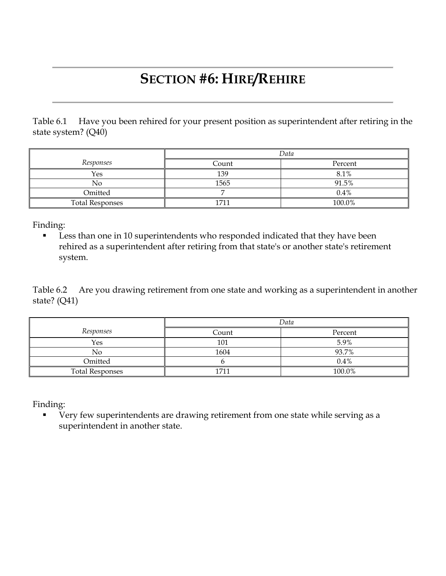# **SECTION #6: HIRE/REHIRE**

Table 6.1 Have you been rehired for your present position as superintendent after retiring in the state system? (Q40)

|                        | Data  |         |  |
|------------------------|-------|---------|--|
| Responses              | Count | Percent |  |
| Yes                    | 139   | 8.1%    |  |
| Nο                     | 1565  | 91.5%   |  |
| Omitted                |       | 0.4%    |  |
| <b>Total Responses</b> | 1711  | 100.0%  |  |

Finding:

 Less than one in 10 superintendents who responded indicated that they have been rehired as a superintendent after retiring from that state's or another state's retirement system.

Table 6.2 Are you drawing retirement from one state and working as a superintendent in another state? (Q41)

|                        |       | Data    |
|------------------------|-------|---------|
| Responses              | Count | Percent |
| Yes                    | 101   | 5.9%    |
| No                     | 1604  | 93.7%   |
| Omitted                |       | 0.4%    |
| <b>Total Responses</b> | 1711  | 100.0%  |

Finding:

**Very few superintendents are drawing retirement from one state while serving as a** superintendent in another state.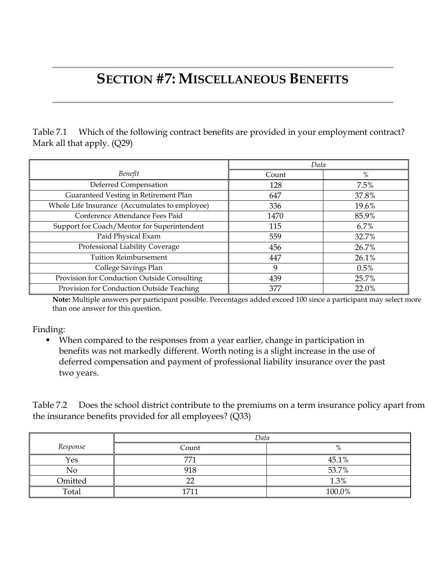### **SECTION #7: MISCELLANEOUS BENEFITS**

Table 7.1 Which of the following contract benefits are provided in your employment contract? Mark all that apply. (Q29)

|                                                | Data  |         |
|------------------------------------------------|-------|---------|
| Benefit                                        | Count | %       |
| Deferred Compensation                          | 128   | 7.5%    |
| Guaranteed Vesting in Retirement Plan          | 647   | 37.8%   |
| Whole Life Insurance (Accumulates to employee) | 336   | 19.6%   |
| Conference Attendance Fees Paid                | 1470  | 85.9%   |
| Support for Coach/Mentor for Superintendent    | 115   | $6.7\%$ |
| Paid Physical Exam                             | 559   | 32.7%   |
| Professional Liability Coverage                | 456   | 26.7%   |
| <b>Tuition Reimbursement</b>                   | 447   | 26.1%   |
| College Savings Plan                           | 9     | 0.5%    |
| Provision for Conduction Outside Consulting    | 439   | 25.7%   |
| Provision for Conduction Outside Teaching      | 377   | 22.0%   |

**Note:** Multiple answers per participant possible. Percentages added exceed 100 since a participant may select more than one answer for this question.

Finding:

 When compared to the responses from a year earlier, change in participation in benefits was not markedly different. Worth noting is a slight increase in the use of deferred compensation and payment of professional liability insurance over the past two years.

Table 7.2 Does the school district contribute to the premiums on a term insurance policy apart from the insurance benefits provided for all employees? (Q33)

|          | Data  |        |
|----------|-------|--------|
| Response | Count | %      |
| Yes      | 771   | 45.1%  |
| No       | 918   | 53.7%  |
| Omitted  | n n   | 1.3%   |
| Total    | 1711  | 100.0% |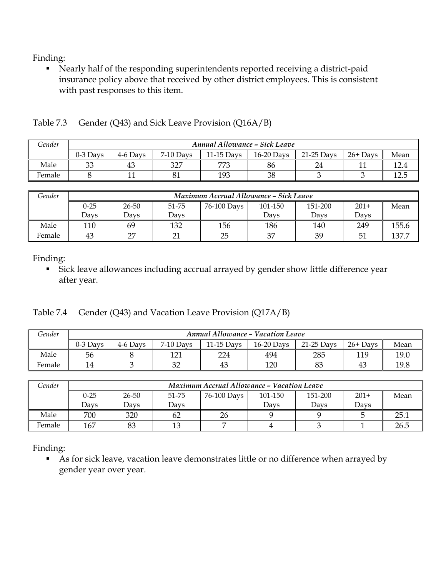Nearly half of the responding superintendents reported receiving a district-paid insurance policy above that received by other district employees. This is consistent with past responses to this item.

| Gender | <b>Annual Allowance - Sick Leave</b> |          |             |              |              |              |            |      |
|--------|--------------------------------------|----------|-------------|--------------|--------------|--------------|------------|------|
|        | $0-3$ Davs                           | 4-6 Days | $7-10$ Days | $11-15$ Davs | $16-20$ Days | $21-25$ Davs | $26+$ Days | Mean |
| Male   | 33                                   | 43       | 327         | 770          | 86           | 24           |            |      |
| Female |                                      |          | 81          | 193          | 38           |              |            | ⊥∠.∪ |

| Gender | Maximum Accrual Allowance - Sick Leave |       |       |             |         |         |        |       |  |
|--------|----------------------------------------|-------|-------|-------------|---------|---------|--------|-------|--|
|        | $0 - 25$                               | 26-50 | 51-75 | 76-100 Days | 101-150 | 151-200 | $201+$ | Mean  |  |
|        | Davs                                   | Davs  | Davs  |             | Davs    | Davs    | Davs   |       |  |
| Male   | 110                                    | 69    | 132   | 156         | 186     | 140     | 249    | 155.6 |  |
| Female | 43                                     | דר    | 21    | 25          | 37      | 39      | 51     | 137.7 |  |

Finding:

 Sick leave allowances including accrual arrayed by gender show little difference year after year.

Table 7.4 Gender (Q43) and Vacation Leave Provision (Q17A/B)

| Gender | <b>Annual Allowance - Vacation Leave</b> |          |              |            |              |            |            |      |  |
|--------|------------------------------------------|----------|--------------|------------|--------------|------------|------------|------|--|
|        | $0-3$ Days                               | 4-6 Days | 7-10 Days    | 11-15 Davs | $16-20$ Davs | 21-25 Days | $26+$ Days | Mean |  |
| Male   | 56                                       |          | 1 71<br>L∠ 1 | 224        | 494          | 285        | 119        | 19.0 |  |
| Female | 14                                       |          | 20<br>ےر     | 43         | 120          | 83         | 43         | 19.8 |  |

| Gender | <b>Maximum Accrual Allowance - Vacation Leave</b> |       |       |             |         |         |        |      |  |
|--------|---------------------------------------------------|-------|-------|-------------|---------|---------|--------|------|--|
|        | $0 - 25$                                          | 26-50 | 51-75 | 76-100 Days | 101-150 | 151-200 | $201+$ | Mean |  |
|        | Davs                                              | Davs  | Davs  |             | Davs    | Davs    | Davs   |      |  |
| Male   | 700                                               | 320   | 62    | 26          |         |         |        | 25.1 |  |
| Female | 167                                               | 83    | 13    |             |         |         |        | 26.5 |  |

Finding:

As for sick leave, vacation leave demonstrates little or no difference when arrayed by gender year over year.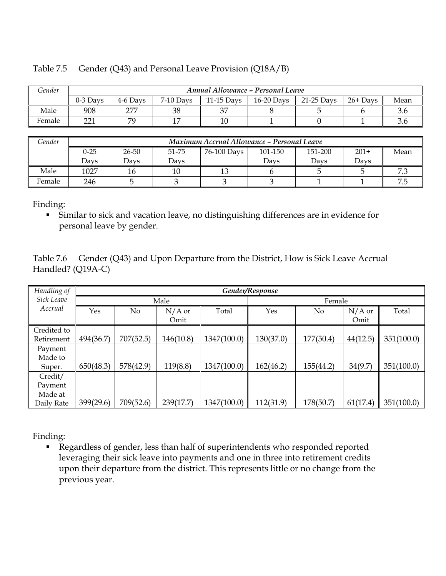| Gender | Annual Allowance - Personal Leave |          |             |              |              |            |            |      |  |
|--------|-----------------------------------|----------|-------------|--------------|--------------|------------|------------|------|--|
|        | $0-3$ Davs                        | 4-6 Davs | $7-10$ Days | $11-15$ Davs | $16-20$ Days | 21-25 Days | $26+$ Days | Mean |  |
| Male   | 908                               | חחר      | 38          | $\cap$       |              |            |            |      |  |
| Female | nn1                               | 70       | 1 m         | 10           |              |            |            |      |  |

#### Table 7.5 Gender (Q43) and Personal Leave Provision (Q18A/B)

*Gender Maximum Accrual Allowance – Personal Leave* 0-25 Days 26-50 Days 51-75 Days 76-100 Days 101-150 Days 151-200 Days  $201+$ Days Mean Male 1027 | 16 | 10 | 13 | 6 | 5 | 5 | 7.3 Female 246 | 5 | 3 | 3 | 3 | 1 | 1 | 7.5

Finding:

 Similar to sick and vacation leave, no distinguishing differences are in evidence for personal leave by gender.

Table 7.6 Gender (Q43) and Upon Departure from the District, How is Sick Leave Accrual Handled? (Q19A-C)

| Handling of | Gender/Response |           |           |             |           |           |          |            |
|-------------|-----------------|-----------|-----------|-------------|-----------|-----------|----------|------------|
| Sick Leave  | Male            |           |           |             | Female    |           |          |            |
| Accrual     | Yes             | No        | $N/A$ or  | Total       | Yes       | No        | $N/A$ or | Total      |
|             |                 |           | Omit      |             |           |           | Omit     |            |
| Credited to |                 |           |           |             |           |           |          |            |
| Retirement  | 494(36.7)       | 707(52.5) | 146(10.8) | 1347(100.0) | 130(37.0) | 177(50.4) | 44(12.5) | 351(100.0) |
| Payment     |                 |           |           |             |           |           |          |            |
| Made to     |                 |           |           |             |           |           |          |            |
| Super.      | 650(48.3)       | 578(42.9) | 119(8.8)  | 1347(100.0) | 162(46.2) | 155(44.2) | 34(9.7)  | 351(100.0) |
| Credit/     |                 |           |           |             |           |           |          |            |
| Payment     |                 |           |           |             |           |           |          |            |
| Made at     |                 |           |           |             |           |           |          |            |
| Daily Rate  | 399(29.6)       | 709(52.6) | 239(17.7) | 1347(100.0) | 112(31.9) | 178(50.7) | 61(17.4) | 351(100.0) |

Finding:

 Regardless of gender, less than half of superintendents who responded reported leveraging their sick leave into payments and one in three into retirement credits upon their departure from the district. This represents little or no change from the previous year.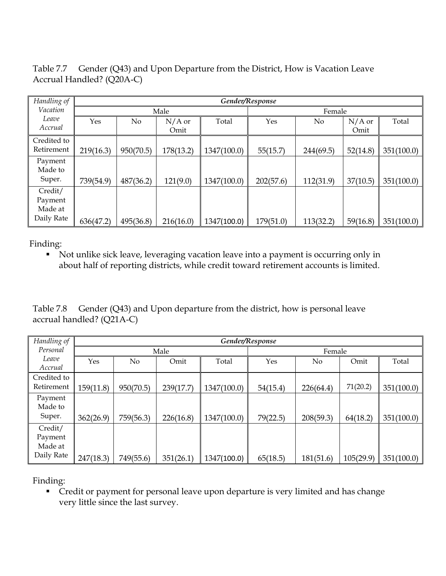Table 7.7 Gender (Q43) and Upon Departure from the District, How is Vacation Leave Accrual Handled? (Q20A-C)

| Handling of |           |           |           |             | Gender/Response |           |          |            |
|-------------|-----------|-----------|-----------|-------------|-----------------|-----------|----------|------------|
| Vacation    |           |           | Male      |             | Female          |           |          |            |
| Leave       | Yes       | No        | $N/A$ or  | Total       | Yes             | No.       | $N/A$ or | Total      |
| Accrual     |           |           | Omit      |             |                 |           | Omit     |            |
| Credited to |           |           |           |             |                 |           |          |            |
| Retirement  | 219(16.3) | 950(70.5) | 178(13.2) | 1347(100.0) | 55(15.7)        | 244(69.5) | 52(14.8) | 351(100.0) |
| Payment     |           |           |           |             |                 |           |          |            |
| Made to     |           |           |           |             |                 |           |          |            |
| Super.      | 739(54.9) | 487(36.2) | 121(9.0)  | 1347(100.0) | 202(57.6)       | 112(31.9) | 37(10.5) | 351(100.0) |
| Credit/     |           |           |           |             |                 |           |          |            |
| Payment     |           |           |           |             |                 |           |          |            |
| Made at     |           |           |           |             |                 |           |          |            |
| Daily Rate  | 636(47.2) | 495(36.8) | 216(16.0) | 1347(100.0) | 179(51.0)       | 113(32.2) | 59(16.8) | 351(100.0) |

Not unlike sick leave, leveraging vacation leave into a payment is occurring only in about half of reporting districts, while credit toward retirement accounts is limited.

Table 7.8 Gender (Q43) and Upon departure from the district, how is personal leave accrual handled? (Q21A-C)

| Handling of        |           | Gender/Response |           |             |          |           |           |            |  |
|--------------------|-----------|-----------------|-----------|-------------|----------|-----------|-----------|------------|--|
| Personal           |           |                 | Male      |             | Female   |           |           |            |  |
| Leave<br>Accrual   | Yes       | No              | Omit      | Total       | Yes      | No        | Omit      | Total      |  |
| Credited to        |           |                 |           |             |          |           |           |            |  |
| Retirement         | 159(11.8) | 950(70.5)       | 239(17.7) | 1347(100.0) | 54(15.4) | 226(64.4) | 71(20.2)  | 351(100.0) |  |
| Payment<br>Made to |           |                 |           |             |          |           |           |            |  |
| Super.             | 362(26.9) | 759(56.3)       | 226(16.8) | 1347(100.0) | 79(22.5) | 208(59.3) | 64(18.2)  | 351(100.0) |  |
| Credit/            |           |                 |           |             |          |           |           |            |  |
| Payment            |           |                 |           |             |          |           |           |            |  |
| Made at            |           |                 |           |             |          |           |           |            |  |
| Daily Rate         | 247(18.3) | 749(55.6)       | 351(26.1) | 1347(100.0) | 65(18.5) | 181(51.6) | 105(29.9) | 351(100.0) |  |

Finding:

 Credit or payment for personal leave upon departure is very limited and has change very little since the last survey.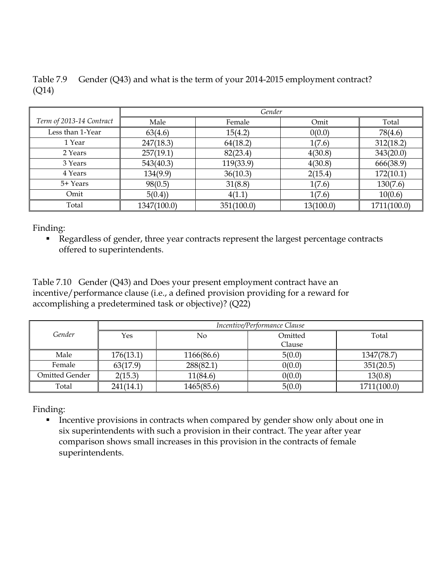|       | Table 7.9 Gender (Q43) and what is the term of your 2014-2015 employment contract? |
|-------|------------------------------------------------------------------------------------|
| (Q14) |                                                                                    |

|                          | Gender      |            |           |             |  |  |  |  |  |
|--------------------------|-------------|------------|-----------|-------------|--|--|--|--|--|
| Term of 2013-14 Contract | Male        | Female     | Omit      | Total       |  |  |  |  |  |
| Less than 1-Year         | 63(4.6)     | 15(4.2)    | 0(0.0)    | 78(4.6)     |  |  |  |  |  |
| 1 Year                   | 247(18.3)   | 64(18.2)   | 1(7.6)    | 312(18.2)   |  |  |  |  |  |
| 2 Years                  | 257(19.1)   | 82(23.4)   | 4(30.8)   | 343(20.0)   |  |  |  |  |  |
| 3 Years                  | 543(40.3)   | 119(33.9)  | 4(30.8)   | 666(38.9)   |  |  |  |  |  |
| 4 Years                  | 134(9.9)    | 36(10.3)   | 2(15.4)   | 172(10.1)   |  |  |  |  |  |
| 5+ Years                 | 98(0.5)     | 31(8.8)    | 1(7.6)    | 130(7.6)    |  |  |  |  |  |
| Omit                     | 5(0.4)      | 4(1.1)     | 1(7.6)    | 10(0.6)     |  |  |  |  |  |
| Total                    | 1347(100.0) | 351(100.0) | 13(100.0) | 1711(100.0) |  |  |  |  |  |

 Regardless of gender, three year contracts represent the largest percentage contracts offered to superintendents.

Table 7.10 Gender (Q43) and Does your present employment contract have an incentive/performance clause (i.e., a defined provision providing for a reward for accomplishing a predetermined task or objective)? (Q22)

|                | Incentive/Performance Clause |            |         |             |  |  |  |  |
|----------------|------------------------------|------------|---------|-------------|--|--|--|--|
| Gender         | Yes                          | No         | Omitted | Total       |  |  |  |  |
|                |                              |            | Clause  |             |  |  |  |  |
| Male           | 176(13.1)                    | 1166(86.6) | 5(0.0)  | 1347(78.7)  |  |  |  |  |
| Female         | 63(17.9)                     | 288(82.1)  | 0(0.0)  | 351(20.5)   |  |  |  |  |
| Omitted Gender | 2(15.3)                      | 11(84.6)   | 0(0.0)  | 13(0.8)     |  |  |  |  |
| Total          | 241(14.1)                    | 1465(85.6) | 5(0.0)  | 1711(100.0) |  |  |  |  |

Finding:

**Incentive provisions in contracts when compared by gender show only about one in** six superintendents with such a provision in their contract. The year after year comparison shows small increases in this provision in the contracts of female superintendents.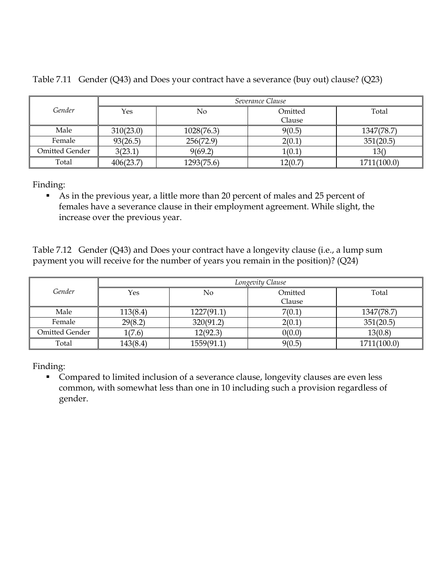|                | Severance Clause |            |         |             |  |  |  |  |
|----------------|------------------|------------|---------|-------------|--|--|--|--|
| Gender         | Yes              | No         | Omitted | Total       |  |  |  |  |
|                |                  |            | Clause  |             |  |  |  |  |
| Male           | 310(23.0)        | 1028(76.3) | 9(0.5)  | 1347(78.7)  |  |  |  |  |
| Female         | 93(26.5)         | 256(72.9)  | 2(0.1)  | 351(20.5)   |  |  |  |  |
| Omitted Gender | 3(23.1)          | 9(69.2)    | 1(0.1)  | 13()        |  |  |  |  |
| Total          | 406(23.7)        | 1293(75.6) | 12(0.7) | 1711(100.0) |  |  |  |  |

Table 7.11 Gender (Q43) and Does your contract have a severance (buy out) clause? (Q23)

 As in the previous year, a little more than 20 percent of males and 25 percent of females have a severance clause in their employment agreement. While slight, the increase over the previous year.

Table 7.12 Gender (Q43) and Does your contract have a longevity clause (i.e., a lump sum payment you will receive for the number of years you remain in the position)? (Q24)

|                | Longevity Clause |            |         |             |  |  |  |  |  |
|----------------|------------------|------------|---------|-------------|--|--|--|--|--|
| Gender         | Yes              | No         | Omitted | Total       |  |  |  |  |  |
|                |                  |            | Clause  |             |  |  |  |  |  |
| Male           | 113(8.4)         | 1227(91.1) | 7(0.1)  | 1347(78.7)  |  |  |  |  |  |
| Female         | 29(8.2)          | 320(91.2)  | 2(0.1)  | 351(20.5)   |  |  |  |  |  |
| Omitted Gender | 1(7.6)           | 12(92.3)   | 0(0.0)  | 13(0.8)     |  |  |  |  |  |
| Total          | 143(8.4)         | 1559(91.1) | 9(0.5)  | 1711(100.0) |  |  |  |  |  |

Finding:

 Compared to limited inclusion of a severance clause, longevity clauses are even less common, with somewhat less than one in 10 including such a provision regardless of gender.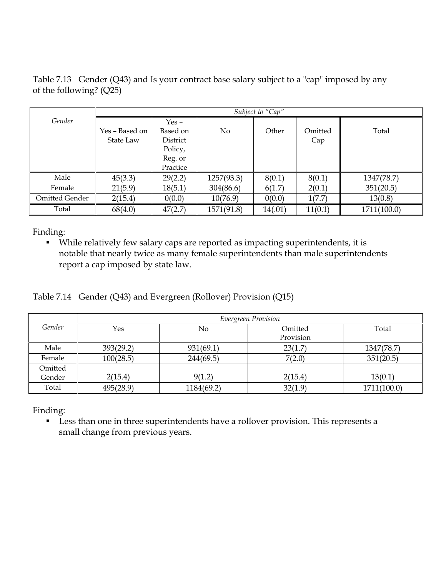Table 7.13 Gender (Q43) and Is your contract base salary subject to a "cap" imposed by any of the following? (Q25)

|                |                | Subject to "Cap" |            |         |         |             |  |  |  |  |
|----------------|----------------|------------------|------------|---------|---------|-------------|--|--|--|--|
| Gender         |                | $Yes -$          |            |         |         |             |  |  |  |  |
|                | Yes – Based on | Based on         | No         | Other   | Omitted | Total       |  |  |  |  |
|                | State Law      | District         |            |         | Cap     |             |  |  |  |  |
|                |                | Policy,          |            |         |         |             |  |  |  |  |
|                |                | Reg. or          |            |         |         |             |  |  |  |  |
|                |                | Practice         |            |         |         |             |  |  |  |  |
| Male           | 45(3.3)        | 29(2.2)          | 1257(93.3) | 8(0.1)  | 8(0.1)  | 1347(78.7)  |  |  |  |  |
| Female         | 21(5.9)        | 18(5.1)          | 304(86.6)  | 6(1.7)  | 2(0.1)  | 351(20.5)   |  |  |  |  |
| Omitted Gender | 2(15.4)        | 0(0.0)           | 10(76.9)   | 0(0.0)  | 1(7.7)  | 13(0.8)     |  |  |  |  |
| Total          | 68(4.0)        | 47(2.7)          | 1571(91.8) | 14(.01) | 11(0.1) | 1711(100.0) |  |  |  |  |

 While relatively few salary caps are reported as impacting superintendents, it is notable that nearly twice as many female superintendents than male superintendents report a cap imposed by state law.

Table 7.14 Gender (Q43) and Evergreen (Rollover) Provision (Q15)

|         |           | Evergreen Provision |           |             |  |  |  |  |  |  |
|---------|-----------|---------------------|-----------|-------------|--|--|--|--|--|--|
| Gender  | Yes       | No                  | Omitted   | Total       |  |  |  |  |  |  |
|         |           |                     | Provision |             |  |  |  |  |  |  |
| Male    | 393(29.2) | 931(69.1)           | 23(1.7)   | 1347(78.7)  |  |  |  |  |  |  |
| Female  | 100(28.5) | 244(69.5)           | 7(2.0)    | 351(20.5)   |  |  |  |  |  |  |
| Omitted |           |                     |           |             |  |  |  |  |  |  |
| Gender  | 2(15.4)   | 9(1.2)              | 2(15.4)   | 13(0.1)     |  |  |  |  |  |  |
| Total   | 495(28.9) | 1184(69.2)          | 32(1.9)   | 1711(100.0) |  |  |  |  |  |  |

Finding:

**Less than one in three superintendents have a rollover provision. This represents a** small change from previous years.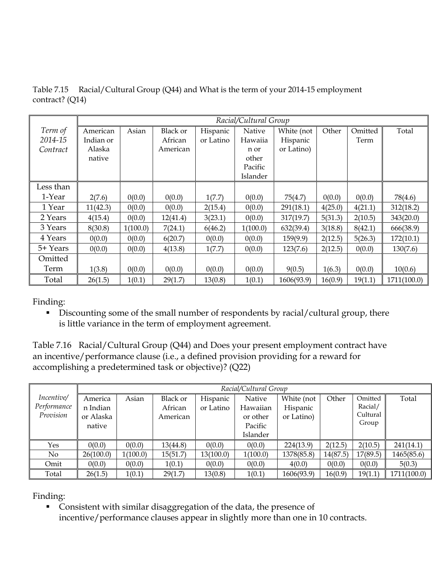|           |           |          |                 |           | Racial/Cultural Group |            |         |         |             |
|-----------|-----------|----------|-----------------|-----------|-----------------------|------------|---------|---------|-------------|
| Term of   | American  | Asian    | <b>Black or</b> | Hispanic  | Native                | White (not | Other   | Omitted | Total       |
| 2014-15   | Indian or |          | African         | or Latino | Hawaiia               | Hispanic   |         | Term    |             |
| Contract  | Alaska    |          | American        |           | n or                  | or Latino) |         |         |             |
|           | native    |          |                 |           | other                 |            |         |         |             |
|           |           |          |                 |           | Pacific               |            |         |         |             |
|           |           |          |                 |           | Islander              |            |         |         |             |
| Less than |           |          |                 |           |                       |            |         |         |             |
| 1-Year    | 2(7.6)    | 0(0.0)   | 0(0.0)          | 1(7.7)    | 0(0.0)                | 75(4.7)    | 0(0.0)  | 0(0.0)  | 78(4.6)     |
| 1 Year    | 11(42.3)  | 0(0.0)   | 0(0.0)          | 2(15.4)   | 0(0.0)                | 291(18.1)  | 4(25.0) | 4(21.1) | 312(18.2)   |
| 2 Years   | 4(15.4)   | 0(0.0)   | 12(41.4)        | 3(23.1)   | 0(0.0)                | 317(19.7)  | 5(31.3) | 2(10.5) | 343(20.0)   |
| 3 Years   | 8(30.8)   | 1(100.0) | 7(24.1)         | 6(46.2)   | 1(100.0)              | 632(39.4)  | 3(18.8) | 8(42.1) | 666(38.9)   |
| 4 Years   | 0(0.0)    | 0(0.0)   | 6(20.7)         | 0(0.0)    | 0(0.0)                | 159(9.9)   | 2(12.5) | 5(26.3) | 172(10.1)   |
| 5+ Years  | 0(0.0)    | 0(0.0)   | 4(13.8)         | 1(7.7)    | 0(0.0)                | 123(7.6)   | 2(12.5) | 0(0.0)  | 130(7.6)    |
| Omitted   |           |          |                 |           |                       |            |         |         |             |
| Term      | 1(3.8)    | 0(0.0)   | 0(0.0)          | 0(0.0)    | 0(0.0)                | 9(0.5)     | 1(6.3)  | 0(0.0)  | 10(0.6)     |
| Total     | 26(1.5)   | 1(0.1)   | 29(1.7)         | 13(0.8)   | 1(0.1)                | 1606(93.9) | 16(0.9) | 19(1.1) | 1711(100.0) |

Table 7.15 Racial/Cultural Group (Q44) and What is the term of your 2014-15 employment contract? (Q14)

Discounting some of the small number of respondents by racial/cultural group, there is little variance in the term of employment agreement.

Table 7.16 Racial/Cultural Group (Q44) and Does your present employment contract have an incentive/performance clause (i.e., a defined provision providing for a reward for accomplishing a predetermined task or objective)? (Q22)

|                                        |                                            | Racial/Cultural Group |                                        |                       |                                                       |                                      |          |                                         |             |  |  |
|----------------------------------------|--------------------------------------------|-----------------------|----------------------------------------|-----------------------|-------------------------------------------------------|--------------------------------------|----------|-----------------------------------------|-------------|--|--|
| Incentive/<br>Performance<br>Provision | America<br>n Indian<br>or Alaska<br>native | Asian                 | <b>Black or</b><br>African<br>American | Hispanic<br>or Latino | Native<br>Hawaiian<br>or other<br>Pacific<br>Islander | White (not<br>Hispanic<br>or Latino) | Other    | Omitted<br>Racial/<br>Cultural<br>Group | Total       |  |  |
| Yes                                    | 0(0.0)                                     | 0(0.0)                | 13(44.8)                               | 0(0.0)                | 0(0.0)                                                | 224(13.9)                            | 2(12.5)  | 2(10.5)                                 | 241(14.1)   |  |  |
| No                                     | 26(100.0)                                  | 1(100.0)              | 15(51.7)                               | 13(100.0)             | 1(100.0)                                              | 1378(85.8)                           | 14(87.5) | 17(89.5)                                | 1465(85.6)  |  |  |
| Omit                                   | 0(0.0)                                     | 0(0.0)                | 1(0.1)                                 | 0(0.0)                | 0(0.0)                                                | 4(0.0)                               | 0(0.0)   | 0(0.0)                                  | 5(0.3)      |  |  |
| Total                                  | 26(1.5)                                    | 1(0.1)                | 29(1.7)                                | 13(0.8)               | 1(0.1)                                                | 1606(93.9)                           | 16(0.9)  | 19(1.1)                                 | 1711(100.0) |  |  |

Finding:

 Consistent with similar disaggregation of the data, the presence of incentive/performance clauses appear in slightly more than one in 10 contracts.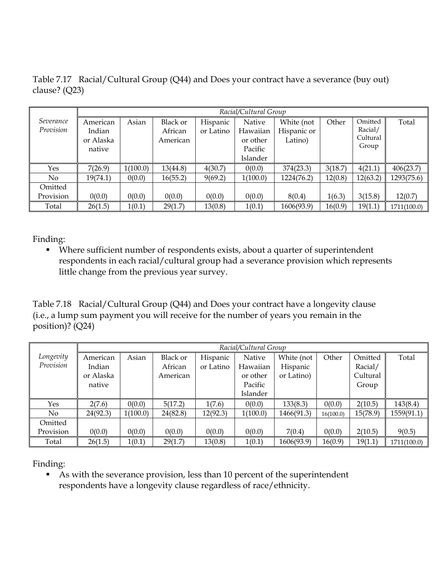Table 7.17 Racial/Cultural Group (Q44) and Does your contract have a severance (buy out) clause? (Q23)

|                        |                                           | Racial/Cultural Group |                                 |                       |                                                       |                                      |         |                                         |             |  |  |
|------------------------|-------------------------------------------|-----------------------|---------------------------------|-----------------------|-------------------------------------------------------|--------------------------------------|---------|-----------------------------------------|-------------|--|--|
| Severance<br>Provision | American<br>Indian<br>or Alaska<br>native | Asian                 | Black or<br>African<br>American | Hispanic<br>or Latino | Native<br>Hawaiian<br>or other<br>Pacific<br>Islander | White (not<br>Hispanic or<br>Latino) | Other   | Omitted<br>Racial/<br>Cultural<br>Group | Total       |  |  |
| Yes                    | 7(26.9)                                   | 1(100.0)              | 13(44.8)                        | 4(30.7)               | 0(0.0)                                                | 374(23.3)                            | 3(18.7) | 4(21.1)                                 | 406(23.7)   |  |  |
| No                     | 19(74.1)                                  | 0(0.0)                | 16(55.2)                        | 9(69.2)               | 1(100.0)                                              | 1224(76.2)                           | 12(0.8) | 12(63.2)                                | 1293(75.6)  |  |  |
| Omitted                |                                           |                       |                                 |                       |                                                       |                                      |         |                                         |             |  |  |
| Provision              | 0(0.0)                                    | 0(0.0)                | 0(0.0)                          | 0(0.0)                | 0(0.0)                                                | 8(0.4)                               | 1(6.3)  | 3(15.8)                                 | 12(0.7)     |  |  |
| Total                  | 26(1.5)                                   | 1(0.1)                | 29(1.7)                         | 13(0.8)               | 1(0.1)                                                | 1606(93.9)                           | 16(0.9) | 19(1.1)                                 | 1711(100.0) |  |  |

 Where sufficient number of respondents exists, about a quarter of superintendent respondents in each racial/cultural group had a severance provision which represents little change from the previous year survey.

Table 7.18 Racial/Cultural Group (Q44) and Does your contract have a longevity clause (i.e., a lump sum payment you will receive for the number of years you remain in the position)? (Q24)

|           |           | Racial/Cultural Group |          |           |          |            |           |          |             |  |  |
|-----------|-----------|-----------------------|----------|-----------|----------|------------|-----------|----------|-------------|--|--|
| Longevity | American  | Asian                 | Black or | Hispanic  | Native   | White (not | Other     | Omitted  | Total       |  |  |
| Provision | Indian    |                       | African  | or Latino | Hawaiian | Hispanic   |           | Racial/  |             |  |  |
|           | or Alaska |                       | American |           | or other | or Latino) |           | Cultural |             |  |  |
|           | native    |                       |          |           | Pacific  |            |           | Group    |             |  |  |
|           |           |                       |          |           | Islander |            |           |          |             |  |  |
| Yes       | 2(7.6)    | 0(0.0)                | 5(17.2)  | 1(7.6)    | 0(0.0)   | 133(8.3)   | 0(0.0)    | 2(10.5)  | 143(8.4)    |  |  |
| No.       | 24(92.3)  | 1(100.0)              | 24(82.8) | 12(92.3)  | 1(100.0) | 1466(91.3) | 16(100.0) | 15(78.9) | 1559(91.1)  |  |  |
| Omitted   |           |                       |          |           |          |            |           |          |             |  |  |
| Provision | 0(0.0)    | 0(0.0)                | 0(0.0)   | 0(0.0)    | 0(0.0)   | 7(0.4)     | 0(0.0)    | 2(10.5)  | 9(0.5)      |  |  |
| Total     | 26(1.5)   | 1(0.1)                | 29(1.7)  | 13(0.8)   | 1(0.1)   | 1606(93.9) | 16(0.9)   | 19(1.1)  | 1711(100.0) |  |  |

Finding:

 As with the severance provision, less than 10 percent of the superintendent respondents have a longevity clause regardless of race/ethnicity.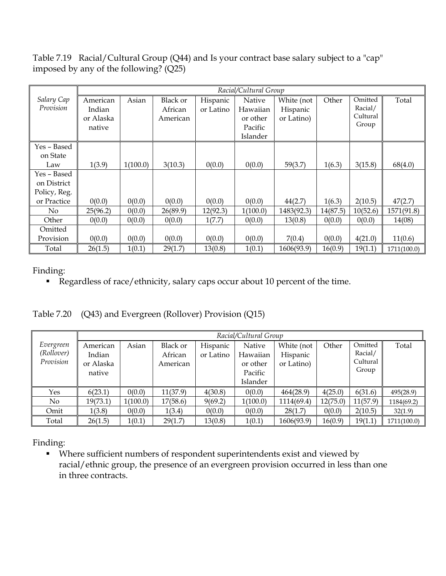Table 7.19 Racial/Cultural Group (Q44) and Is your contract base salary subject to a "cap" imposed by any of the following? (Q25)

|              |           |          |          |           | Racial/Cultural Group |            |          |          |             |
|--------------|-----------|----------|----------|-----------|-----------------------|------------|----------|----------|-------------|
| Salary Cap   | American  | Asian    | Black or | Hispanic  | Native                | White (not | Other    | Omitted  | Total       |
| Provision    | Indian    |          | African  | or Latino | Hawaiian              | Hispanic   |          | Racial/  |             |
|              | or Alaska |          | American |           | or other              | or Latino) |          | Cultural |             |
|              | native    |          |          |           | Pacific               |            |          | Group    |             |
|              |           |          |          |           | Islander              |            |          |          |             |
| Yes – Based  |           |          |          |           |                       |            |          |          |             |
| on State     |           |          |          |           |                       |            |          |          |             |
| Law          | 1(3.9)    | 1(100.0) | 3(10.3)  | 0(0.0)    | 0(0.0)                | 59(3.7)    | 1(6.3)   | 3(15.8)  | 68(4.0)     |
| Yes - Based  |           |          |          |           |                       |            |          |          |             |
| on District  |           |          |          |           |                       |            |          |          |             |
| Policy, Reg. |           |          |          |           |                       |            |          |          |             |
| or Practice  | 0(0.0)    | 0(0.0)   | 0(0.0)   | 0(0.0)    | 0(0.0)                | 44(2.7)    | 1(6.3)   | 2(10.5)  | 47(2.7)     |
| No           | 25(96.2)  | 0(0.0)   | 26(89.9) | 12(92.3)  | 1(100.0)              | 1483(92.3) | 14(87.5) | 10(52.6) | 1571(91.8)  |
| Other        | 0(0.0)    | 0(0.0)   | 0(0.0)   | 1(7.7)    | 0(0.0)                | 13(0.8)    | 0(0.0)   | 0(0.0)   | 14(08)      |
| Omitted      |           |          |          |           |                       |            |          |          |             |
| Provision    | 0(0.0)    | 0(0.0)   | 0(0.0)   | 0(0.0)    | 0(0.0)                | 7(0.4)     | 0(0.0)   | 4(21.0)  | 11(0.6)     |
| Total        | 26(1.5)   | 1(0.1)   | 29(1.7)  | 13(0.8)   | 1(0.1)                | 1606(93.9) | 16(0.9)  | 19(1.1)  | 1711(100.0) |

Regardless of race/ethnicity, salary caps occur about 10 percent of the time.

Table 7.20 (Q43) and Evergreen (Rollover) Provision (Q15)

|                                      | Racial/Cultural Group                     |          |                                 |                       |                                                       |                                      |          |                                         |             |
|--------------------------------------|-------------------------------------------|----------|---------------------------------|-----------------------|-------------------------------------------------------|--------------------------------------|----------|-----------------------------------------|-------------|
| Evergreen<br>(Rollover)<br>Provision | American<br>Indian<br>or Alaska<br>native | Asian    | Black or<br>African<br>American | Hispanic<br>or Latino | Native<br>Hawaiian<br>or other<br>Pacific<br>Islander | White (not<br>Hispanic<br>or Latino) | Other    | Omitted<br>Racial/<br>Cultural<br>Group | Total       |
| Yes                                  | 6(23.1)                                   | 0(0.0)   | 11(37.9)                        | 4(30.8)               | 0(0.0)                                                | 464(28.9)                            | 4(25.0)  | 6(31.6)                                 | 495(28.9)   |
| No                                   | 19(73.1)                                  | 1(100.0) | 17(58.6)                        | 9(69.2)               | 1(100.0)                                              | 1114(69.4)                           | 12(75.0) | 11(57.9)                                | 1184(69.2)  |
| Omit                                 | 1(3.8)                                    | 0(0.0)   | 1(3.4)                          | 0(0.0)                | 0(0.0)                                                | 28(1.7)                              | 0(0.0)   | 2(10.5)                                 | 32(1.9)     |
| Total                                | 26(1.5)                                   | 1(0.1)   | 29(1.7)                         | 13(0.8)               | 1(0.1)                                                | 1606(93.9)                           | 16(0.9)  | 19(1.1)                                 | 1711(100.0) |

Finding:

 Where sufficient numbers of respondent superintendents exist and viewed by racial/ethnic group, the presence of an evergreen provision occurred in less than one in three contracts.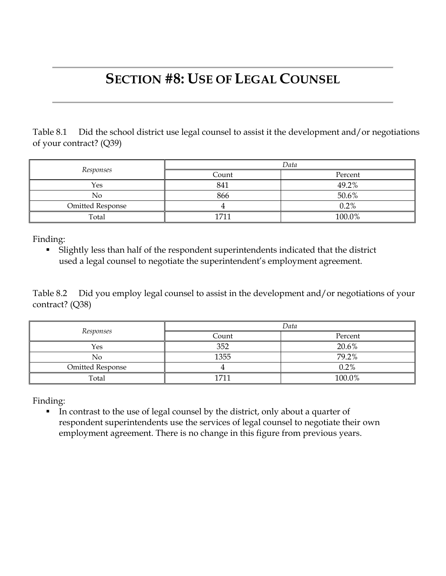### **SECTION #8: USE OF LEGAL COUNSEL**

Table 8.1 Did the school district use legal counsel to assist it the development and/or negotiations of your contract? (Q39)

|                         | Data  |         |  |  |
|-------------------------|-------|---------|--|--|
| Responses               | Count | Percent |  |  |
| Yes                     | 841   | 49.2%   |  |  |
| No                      | 866   | 50.6%   |  |  |
| <b>Omitted Response</b> |       | 0.2%    |  |  |
| Total                   | 1711  | 100.0%  |  |  |

Finding:

 Slightly less than half of the respondent superintendents indicated that the district used a legal counsel to negotiate the superintendent's employment agreement.

Table 8.2 Did you employ legal counsel to assist in the development and/or negotiations of your contract? (Q38)

|                         | Data             |         |  |  |
|-------------------------|------------------|---------|--|--|
| Responses               | Count            | Percent |  |  |
| Yes                     | 352              | 20.6%   |  |  |
| No                      | 1355             | 79.2%   |  |  |
| <b>Omitted Response</b> |                  | 0.2%    |  |  |
| Total                   | 171 <sup>2</sup> | 100.0%  |  |  |

Finding:

In contrast to the use of legal counsel by the district, only about a quarter of respondent superintendents use the services of legal counsel to negotiate their own employment agreement. There is no change in this figure from previous years.